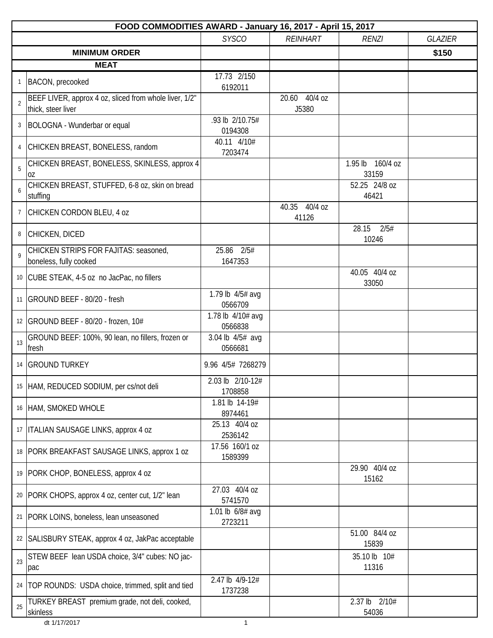|                | FOOD COMMODITIES AWARD - January 16, 2017 - April 15, 2017                   |                              |                        |                           |                |  |  |
|----------------|------------------------------------------------------------------------------|------------------------------|------------------------|---------------------------|----------------|--|--|
|                |                                                                              | <b>SYSCO</b>                 | <b>REINHART</b>        | <b>RENZI</b>              | <b>GLAZIER</b> |  |  |
|                | <b>MINIMUM ORDER</b>                                                         |                              |                        |                           | \$150          |  |  |
|                | <b>MEAT</b>                                                                  |                              |                        |                           |                |  |  |
| 1              | BACON, precooked                                                             | 17.73 2/150<br>6192011       |                        |                           |                |  |  |
| $\overline{2}$ | BEEF LIVER, approx 4 oz, sliced from whole liver, 1/2"<br>thick, steer liver |                              | 20.60 40/4 oz<br>J5380 |                           |                |  |  |
| 3              | BOLOGNA - Wunderbar or equal                                                 | .93 lb 2/10.75#<br>0194308   |                        |                           |                |  |  |
| 4              | CHICKEN BREAST, BONELESS, random                                             | 40.11 4/10#<br>7203474       |                        |                           |                |  |  |
| 5              | CHICKEN BREAST, BONELESS, SKINLESS, approx 4<br>0Z                           |                              |                        | 1.95 lb 160/4 oz<br>33159 |                |  |  |
| 6              | CHICKEN BREAST, STUFFED, 6-8 oz, skin on bread<br>stuffing                   |                              |                        | 52.25 24/8 oz<br>46421    |                |  |  |
| $\overline{7}$ | CHICKEN CORDON BLEU, 4 oz                                                    |                              | 40.35 40/4 oz<br>41126 |                           |                |  |  |
| 8              | CHICKEN, DICED                                                               |                              |                        | 28.15<br>2/5#<br>10246    |                |  |  |
| $\mathsf{Q}$   | CHICKEN STRIPS FOR FAJITAS: seasoned,<br>boneless, fully cooked              | 25.86 2/5#<br>1647353        |                        |                           |                |  |  |
|                | 10 CUBE STEAK, 4-5 oz no JacPac, no fillers                                  |                              |                        | 40.05 40/4 oz<br>33050    |                |  |  |
|                | 11   GROUND BEEF - 80/20 - fresh                                             | 1.79 lb 4/5# avg<br>0566709  |                        |                           |                |  |  |
|                | 12   GROUND BEEF - 80/20 - frozen, 10#                                       | 1.78 lb 4/10# avg<br>0566838 |                        |                           |                |  |  |
| 13             | GROUND BEEF: 100%, 90 lean, no fillers, frozen or<br>fresh                   | 3.04 lb 4/5# avg<br>0566681  |                        |                           |                |  |  |
|                | 14   GROUND TURKEY                                                           | 9.96 4/5# 7268279            |                        |                           |                |  |  |
|                | 15 HAM, REDUCED SODIUM, per cs/not deli                                      | 2.03 lb 2/10-12#<br>1708858  |                        |                           |                |  |  |
|                | 16 HAM, SMOKED WHOLE                                                         | 1.81 lb 14-19#<br>8974461    |                        |                           |                |  |  |
|                | 17   ITALIAN SAUSAGE LINKS, approx 4 oz                                      | 25.13 40/4 oz<br>2536142     |                        |                           |                |  |  |
|                | 18   PORK BREAKFAST SAUSAGE LINKS, approx 1 oz                               | 17.56 160/1 oz<br>1589399    |                        |                           |                |  |  |
|                | 19 PORK CHOP, BONELESS, approx 4 oz                                          |                              |                        | 29.90 40/4 oz<br>15162    |                |  |  |
|                | 20   PORK CHOPS, approx 4 oz, center cut, 1/2" lean                          | 27.03 40/4 oz<br>5741570     |                        |                           |                |  |  |
|                | 21   PORK LOINS, boneless, lean unseasoned                                   | 1.01 lb 6/8# avg<br>2723211  |                        |                           |                |  |  |
| 22             | SALISBURY STEAK, approx 4 oz, JakPac acceptable                              |                              |                        | 51.00 84/4 oz<br>15839    |                |  |  |
| 23             | STEW BEEF lean USDA choice, 3/4" cubes: NO jac-<br>pac                       |                              |                        | 35.10 lb 10#<br>11316     |                |  |  |
|                | 24   TOP ROUNDS: USDA choice, trimmed, split and tied                        | 2.47 lb 4/9-12#<br>1737238   |                        |                           |                |  |  |
| 25             | TURKEY BREAST premium grade, not deli, cooked,<br>skinless                   |                              |                        | 2.37 lb 2/10#<br>54036    |                |  |  |

dt 1/17/2017 1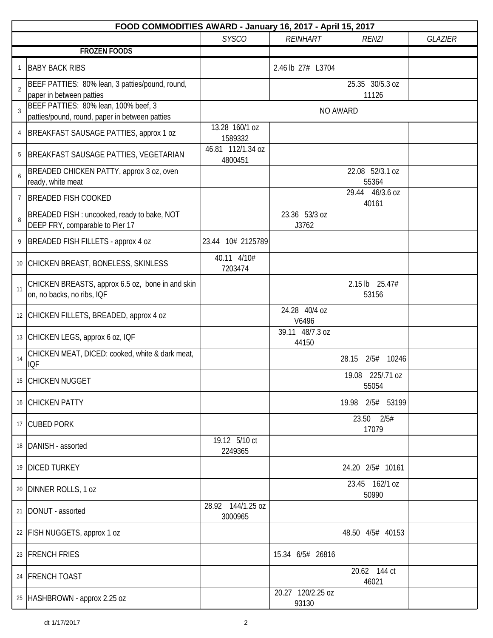|                | FOOD COMMODITIES AWARD - January 16, 2017 - April 15, 2017                             |                              |                            |                           |                |  |  |
|----------------|----------------------------------------------------------------------------------------|------------------------------|----------------------------|---------------------------|----------------|--|--|
|                |                                                                                        | <b>SYSCO</b>                 | <b>REINHART</b>            | <b>RENZI</b>              | <b>GLAZIER</b> |  |  |
|                | <b>FROZEN FOODS</b>                                                                    |                              |                            |                           |                |  |  |
| 1              | <b>BABY BACK RIBS</b>                                                                  |                              | 2.46 lb 27# L3704          |                           |                |  |  |
| $\overline{2}$ | BEEF PATTIES: 80% lean, 3 patties/pound, round,<br>paper in between patties            |                              |                            | 25.35 30/5.3 oz<br>11126  |                |  |  |
| 3              | BEEF PATTIES: 80% lean, 100% beef, 3<br>patties/pound, round, paper in between patties |                              |                            | NO AWARD                  |                |  |  |
| 4              | BREAKFAST SAUSAGE PATTIES, approx 1 oz                                                 | 13.28 160/1 oz<br>1589332    |                            |                           |                |  |  |
| 5              | BREAKFAST SAUSAGE PATTIES, VEGETARIAN                                                  | 46.81 112/1.34 oz<br>4800451 |                            |                           |                |  |  |
| 6              | BREADED CHICKEN PATTY, approx 3 oz, oven<br>ready, white meat                          |                              |                            | 22.08 52/3.1 oz<br>55364  |                |  |  |
| $\overline{7}$ | <b>BREADED FISH COOKED</b>                                                             |                              |                            | 29.44 46/3.6 oz<br>40161  |                |  |  |
| 8              | BREADED FISH : uncooked, ready to bake, NOT<br>DEEP FRY, comparable to Pier 17         |                              | 23.36 53/3 oz<br>J3762     |                           |                |  |  |
| 9              | BREADED FISH FILLETS - approx 4 oz                                                     | 23.44 10# 2125789            |                            |                           |                |  |  |
|                | 10 CHICKEN BREAST, BONELESS, SKINLESS                                                  | 40.11 4/10#<br>7203474       |                            |                           |                |  |  |
| 11             | CHICKEN BREASTS, approx 6.5 oz, bone in and skin<br>on, no backs, no ribs, IQF         |                              |                            | 2.15 lb 25.47#<br>53156   |                |  |  |
|                | 12 CHICKEN FILLETS, BREADED, approx 4 oz                                               |                              | 24.28 40/4 oz<br>V6496     |                           |                |  |  |
|                | 13 CHICKEN LEGS, approx 6 oz, IQF                                                      |                              | 39.11 48/7.3 oz<br>44150   |                           |                |  |  |
| 14             | CHICKEN MEAT, DICED: cooked, white & dark meat,<br><b>IQF</b>                          |                              |                            | 2/5# 10246<br>28.15       |                |  |  |
|                | 15 CHICKEN NUGGET                                                                      |                              |                            | 19.08 225/.71 oz<br>55054 |                |  |  |
|                | 16 CHICKEN PATTY                                                                       |                              |                            | 19.98 2/5# 53199          |                |  |  |
|                | 17 CUBED PORK                                                                          |                              |                            | 23.50<br>2/5#<br>17079    |                |  |  |
|                | 18 DANISH - assorted                                                                   | 19.12 5/10 ct<br>2249365     |                            |                           |                |  |  |
|                | 19 DICED TURKEY                                                                        |                              |                            | 24.20 2/5# 10161          |                |  |  |
|                | 20 DINNER ROLLS, 1 oz                                                                  |                              |                            | 23.45 162/1 oz<br>50990   |                |  |  |
|                | 21   DONUT - assorted                                                                  | 28.92 144/1.25 oz<br>3000965 |                            |                           |                |  |  |
|                | 22   FISH NUGGETS, approx 1 oz                                                         |                              |                            | 48.50 4/5# 40153          |                |  |  |
|                | 23 FRENCH FRIES                                                                        |                              | 15.34 6/5# 26816           |                           |                |  |  |
|                | 24 FRENCH TOAST                                                                        |                              |                            | 20.62 144 ct<br>46021     |                |  |  |
|                | 25   HASHBROWN - approx 2.25 oz                                                        |                              | 20.27 120/2.25 oz<br>93130 |                           |                |  |  |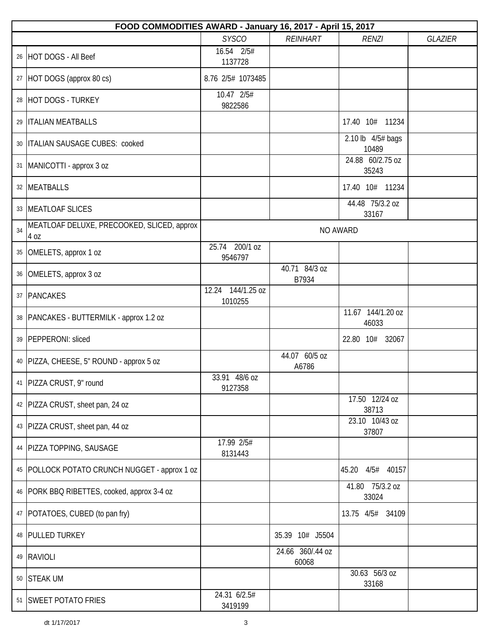|    | FOOD COMMODITIES AWARD - January 16, 2017 - April 15, 2017 |                              |                           |                            |                |  |  |  |
|----|------------------------------------------------------------|------------------------------|---------------------------|----------------------------|----------------|--|--|--|
|    |                                                            | <b>SYSCO</b>                 | <b>REINHART</b>           | <b>RENZI</b>               | <b>GLAZIER</b> |  |  |  |
|    | 26 HOT DOGS - All Beef                                     | 16.54 2/5#<br>1137728        |                           |                            |                |  |  |  |
|    | 27 HOT DOGS (approx 80 cs)                                 | 8.76 2/5# 1073485            |                           |                            |                |  |  |  |
|    | 28 HOT DOGS - TURKEY                                       | 10.47 2/5#<br>9822586        |                           |                            |                |  |  |  |
|    | 29  ITALIAN MEATBALLS                                      |                              |                           | 17.40 10# 11234            |                |  |  |  |
|    | 30   ITALIAN SAUSAGE CUBES: cooked                         |                              |                           | 2.10 lb 4/5# bags<br>10489 |                |  |  |  |
|    | 31  MANICOTTI - approx 3 oz                                |                              |                           | 24.88 60/2.75 oz<br>35243  |                |  |  |  |
|    | 32 MEATBALLS                                               |                              |                           | 17.40 10# 11234            |                |  |  |  |
|    | 33   MEATLOAF SLICES                                       |                              |                           | 44.48 75/3.2 oz<br>33167   |                |  |  |  |
| 34 | MEATLOAF DELUXE, PRECOOKED, SLICED, approx<br>4 oz         |                              |                           | NO AWARD                   |                |  |  |  |
|    | 35 OMELETS, approx 1 oz                                    | 25.74 200/1 oz<br>9546797    |                           |                            |                |  |  |  |
|    | 36 OMELETS, approx 3 oz                                    |                              | 40.71 84/3 oz<br>B7934    |                            |                |  |  |  |
|    | 37 PANCAKES                                                | 12.24 144/1.25 oz<br>1010255 |                           |                            |                |  |  |  |
|    | 38   PANCAKES - BUTTERMILK - approx 1.2 oz                 |                              |                           | 11.67 144/1.20 oz<br>46033 |                |  |  |  |
|    | 39   PEPPERONI: sliced                                     |                              |                           | 22.80 10# 32067            |                |  |  |  |
|    | 40   PIZZA, CHEESE, 5" ROUND - approx 5 oz                 |                              | 44.07 60/5 oz<br>A6786    |                            |                |  |  |  |
|    | 41   PIZZA CRUST, 9" round                                 | 33.91 48/6 oz<br>9127358     |                           |                            |                |  |  |  |
|    | 42   PIZZA CRUST, sheet pan, 24 oz                         |                              |                           | 17.50 12/24 oz<br>38713    |                |  |  |  |
|    | 43   PIZZA CRUST, sheet pan, 44 oz                         |                              |                           | 23.10 10/43 oz<br>37807    |                |  |  |  |
|    | 44   PIZZA TOPPING, SAUSAGE                                | 17.99 2/5#<br>8131443        |                           |                            |                |  |  |  |
|    | 45   POLLOCK POTATO CRUNCH NUGGET - approx 1 oz            |                              |                           | 4/5# 40157<br>45.20        |                |  |  |  |
|    | 46   PORK BBQ RIBETTES, cooked, approx 3-4 oz              |                              |                           | 41.80 75/3.2 oz<br>33024   |                |  |  |  |
|    | 47   POTATOES, CUBED (to pan fry)                          |                              |                           | 13.75 4/5# 34109           |                |  |  |  |
|    | 48 PULLED TURKEY                                           |                              | 35.39 10# J5504           |                            |                |  |  |  |
|    | 49 RAVIOLI                                                 |                              | 24.66 360/.44 oz<br>60068 |                            |                |  |  |  |
|    | 50 STEAK UM                                                |                              |                           | 30.63 56/3 oz<br>33168     |                |  |  |  |
|    | 51 SWEET POTATO FRIES                                      | 24.31 6/2.5#<br>3419199      |                           |                            |                |  |  |  |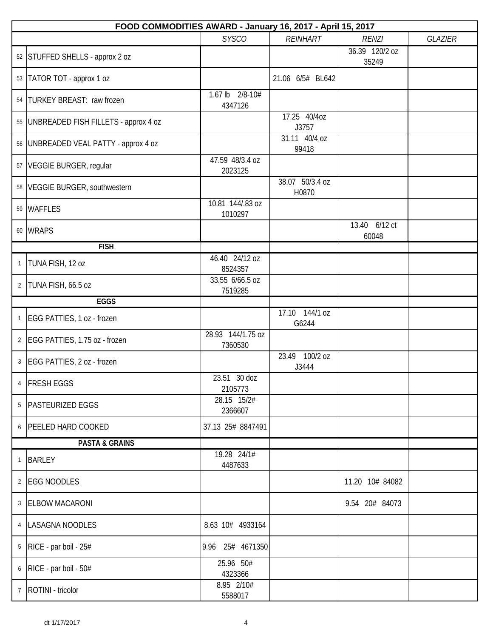|                | FOOD COMMODITIES AWARD - January 16, 2017 - April 15, 2017 |                              |                          |                         |                |  |  |
|----------------|------------------------------------------------------------|------------------------------|--------------------------|-------------------------|----------------|--|--|
|                |                                                            | <b>SYSCO</b>                 | <b>REINHART</b>          | <b>RENZI</b>            | <b>GLAZIER</b> |  |  |
|                | 52 STUFFED SHELLS - approx 2 oz                            |                              |                          | 36.39 120/2 oz<br>35249 |                |  |  |
|                | 53   TATOR TOT - approx 1 oz                               |                              | 21.06 6/5# BL642         |                         |                |  |  |
|                | 54   TURKEY BREAST: raw frozen                             | 1.67 lb 2/8-10#<br>4347126   |                          |                         |                |  |  |
|                | 55   UNBREADED FISH FILLETS - approx 4 oz                  |                              | 17.25 40/4oz<br>J3757    |                         |                |  |  |
|                | 56   UNBREADED VEAL PATTY - approx 4 oz                    |                              | 31.11 40/4 oz<br>99418   |                         |                |  |  |
|                | 57   VEGGIE BURGER, regular                                | 47.59 48/3.4 oz<br>2023125   |                          |                         |                |  |  |
|                | 58 VEGGIE BURGER, southwestern                             |                              | 38.07 50/3.4 oz<br>H0870 |                         |                |  |  |
|                | 59 WAFFLES                                                 | 10.81 144/.83 oz<br>1010297  |                          |                         |                |  |  |
|                | 60 WRAPS                                                   |                              |                          | 13.40 6/12 ct<br>60048  |                |  |  |
|                | <b>FISH</b>                                                |                              |                          |                         |                |  |  |
| $\mathbf{1}$   | TUNA FISH, 12 oz                                           | 46.40 24/12 oz<br>8524357    |                          |                         |                |  |  |
| $\overline{2}$ | TUNA FISH, 66.5 oz                                         | 33.55 6/66.5 oz<br>7519285   |                          |                         |                |  |  |
|                | <b>EGGS</b>                                                |                              |                          |                         |                |  |  |
| $\mathbf{1}$   | EGG PATTIES, 1 oz - frozen                                 |                              | 17.10 144/1 oz<br>G6244  |                         |                |  |  |
| $\overline{2}$ | EGG PATTIES, 1.75 oz - frozen                              | 28.93 144/1.75 oz<br>7360530 |                          |                         |                |  |  |
| $\mathbf{3}$   | EGG PATTIES, 2 oz - frozen                                 |                              | 23.49 100/2 oz<br>J3444  |                         |                |  |  |
| 4              | <b>FRESH EGGS</b>                                          | 23.51 30 doz<br>2105773      |                          |                         |                |  |  |
|                | 5   PASTEURIZED EGGS                                       | 28.15 15/2#<br>2366607       |                          |                         |                |  |  |
| 6              | <b>PEELED HARD COOKED</b>                                  | 37.13 25# 8847491            |                          |                         |                |  |  |
|                | <b>PASTA &amp; GRAINS</b>                                  |                              |                          |                         |                |  |  |
| $\mathbf{1}$   | <b>BARLEY</b>                                              | 19.28 24/1#<br>4487633       |                          |                         |                |  |  |
| $\overline{2}$ | <b>EGG NOODLES</b>                                         |                              |                          | 11.20 10# 84082         |                |  |  |
| 3              | <b>ELBOW MACARONI</b>                                      |                              |                          | 9.54 20# 84073          |                |  |  |
| $\overline{4}$ | LASAGNA NOODLES                                            | 8.63 10# 4933164             |                          |                         |                |  |  |
| 5              | RICE - par boil - 25#                                      | 9.96 25# 4671350             |                          |                         |                |  |  |
| 6              | RICE - par boil - 50#                                      | 25.96 50#<br>4323366         |                          |                         |                |  |  |
| 7 <sup>7</sup> | ROTINI - tricolor                                          | 8.95 2/10#<br>5588017        |                          |                         |                |  |  |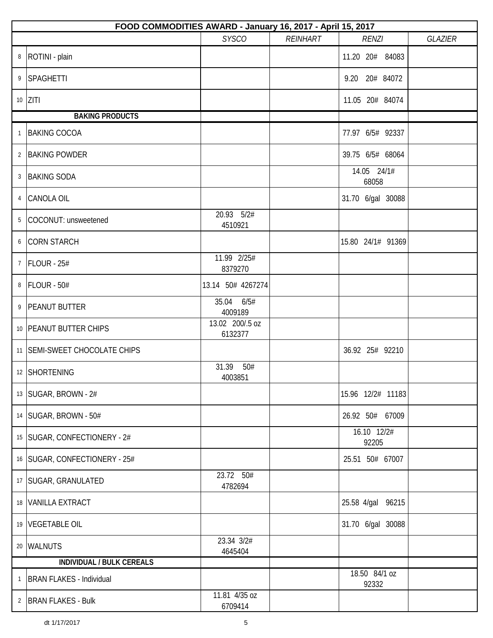|              | FOOD COMMODITIES AWARD - January 16, 2017 - April 15, 2017 |                            |                 |                                   |                |  |  |  |
|--------------|------------------------------------------------------------|----------------------------|-----------------|-----------------------------------|----------------|--|--|--|
|              |                                                            | <b>SYSCO</b>               | <b>REINHART</b> | <b>RENZI</b>                      | <b>GLAZIER</b> |  |  |  |
| 8            | ROTINI - plain                                             |                            |                 | 11.20 20# 84083                   |                |  |  |  |
| 9            | SPAGHETTI                                                  |                            |                 | 9.20 20# 84072                    |                |  |  |  |
|              | $10$ ZITI                                                  |                            |                 | 11.05 20# 84074                   |                |  |  |  |
|              | <b>BAKING PRODUCTS</b>                                     |                            |                 |                                   |                |  |  |  |
| $\mathbf{1}$ | <b>BAKING COCOA</b>                                        |                            |                 | 77.97 6/5# 92337                  |                |  |  |  |
|              | 2 BAKING POWDER                                            |                            |                 | 39.75 6/5# 68064                  |                |  |  |  |
| 3            | <b>BAKING SODA</b>                                         |                            |                 | $\overline{14.05}$ 24/1#<br>68058 |                |  |  |  |
|              | 4 CANOLA OIL                                               |                            |                 | 31.70 6/gal 30088                 |                |  |  |  |
| 5            | COCONUT: unsweetened                                       | 20.93 5/2#<br>4510921      |                 |                                   |                |  |  |  |
|              | 6 CORN STARCH                                              |                            |                 | 15.80 24/1# 91369                 |                |  |  |  |
| $7^{\circ}$  | $FLOUR - 25#$                                              | 11.99 2/25#<br>8379270     |                 |                                   |                |  |  |  |
| 8            | FLOUR - 50#                                                | 13.14 50# 4267274          |                 |                                   |                |  |  |  |
|              | 9 PEANUT BUTTER                                            | 35.04 6/5#<br>4009189      |                 |                                   |                |  |  |  |
|              | 10 PEANUT BUTTER CHIPS                                     | 13.02 200/.5 oz<br>6132377 |                 |                                   |                |  |  |  |
|              | 11 SEMI-SWEET CHOCOLATE CHIPS                              |                            |                 | 36.92 25# 92210                   |                |  |  |  |
|              | 12   SHORTENING                                            | 31.39<br>50#<br>4003851    |                 |                                   |                |  |  |  |
|              | 13   SUGAR, BROWN - 2#                                     |                            |                 | 15.96 12/2# 11183                 |                |  |  |  |
|              | 14   SUGAR, BROWN - 50#                                    |                            |                 | 26.92 50# 67009                   |                |  |  |  |
|              | 15   SUGAR, CONFECTIONERY - 2#                             |                            |                 | 16.10 12/2#<br>92205              |                |  |  |  |
|              | 16   SUGAR, CONFECTIONERY - 25#                            |                            |                 | 25.51 50# 67007                   |                |  |  |  |
|              | 17   SUGAR, GRANULATED                                     | 23.72 50#<br>4782694       |                 |                                   |                |  |  |  |
|              | 18 VANILLA EXTRACT                                         |                            |                 | 25.58 4/gal 96215                 |                |  |  |  |
|              | 19 VEGETABLE OIL                                           |                            |                 | 31.70 6/gal 30088                 |                |  |  |  |
|              | 20 WALNUTS                                                 | 23.34 3/2#<br>4645404      |                 |                                   |                |  |  |  |
|              | <b>INDIVIDUAL / BULK CEREALS</b>                           |                            |                 |                                   |                |  |  |  |
| $\mathbf{1}$ | <b>BRAN FLAKES - Individual</b>                            |                            |                 | 18.50 84/1 oz<br>92332            |                |  |  |  |
|              | 2 BRAN FLAKES - Bulk                                       | 11.81 4/35 oz<br>6709414   |                 |                                   |                |  |  |  |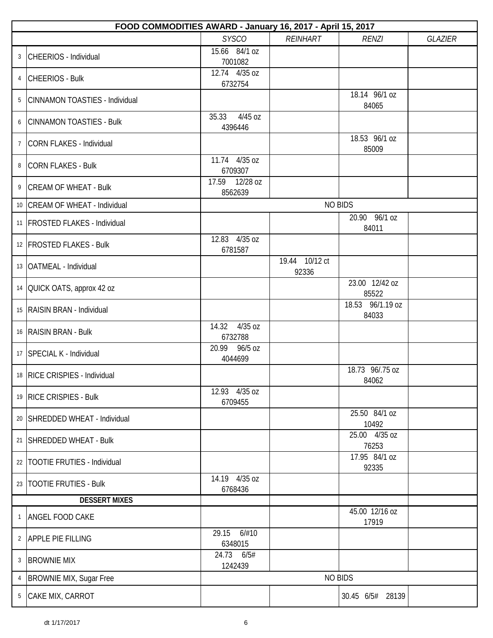|                | FOOD COMMODITIES AWARD - January 16, 2017 - April 15, 2017 |                             |                         |                           |                |  |  |  |
|----------------|------------------------------------------------------------|-----------------------------|-------------------------|---------------------------|----------------|--|--|--|
|                |                                                            | <b>SYSCO</b>                | REINHART                | <b>RENZI</b>              | <b>GLAZIER</b> |  |  |  |
| 3              | CHEERIOS - Individual                                      | 15.66 84/1 oz<br>7001082    |                         |                           |                |  |  |  |
| 4              | <b>CHEERIOS - Bulk</b>                                     | 12.74 4/35 oz<br>6732754    |                         |                           |                |  |  |  |
| 5              | CINNAMON TOASTIES - Individual                             |                             |                         | 18.14 96/1 oz<br>84065    |                |  |  |  |
| 6              | <b>CINNAMON TOASTIES - Bulk</b>                            | 4/45 oz<br>35.33<br>4396446 |                         |                           |                |  |  |  |
| $\overline{7}$ | CORN FLAKES - Individual                                   |                             |                         | 18.53 96/1 oz<br>85009    |                |  |  |  |
| 8              | <b>CORN FLAKES - Bulk</b>                                  | 11.74 4/35 oz<br>6709307    |                         |                           |                |  |  |  |
| 9              | <b>CREAM OF WHEAT - Bulk</b>                               | 17.59 12/28 oz<br>8562639   |                         |                           |                |  |  |  |
|                | 10   CREAM OF WHEAT - Individual                           |                             |                         | <b>NO BIDS</b>            |                |  |  |  |
|                | 11   FROSTED FLAKES - Individual                           |                             |                         | 20.90 96/1 oz<br>84011    |                |  |  |  |
|                | 12   FROSTED FLAKES - Bulk                                 | 12.83 4/35 oz<br>6781587    |                         |                           |                |  |  |  |
|                | 13   OATMEAL - Individual                                  |                             | 19.44 10/12 ct<br>92336 |                           |                |  |  |  |
|                | 14 OUICK OATS, approx 42 oz                                |                             |                         | 23.00 12/42 oz<br>85522   |                |  |  |  |
|                | 15   RAISIN BRAN - Individual                              |                             |                         | 18.53 96/1.19 oz<br>84033 |                |  |  |  |
|                | 16 RAISIN BRAN - Bulk                                      | 14.32<br>4/35 oz<br>6732788 |                         |                           |                |  |  |  |
|                | 17   SPECIAL K - Individual                                | 20.99<br>96/5 oz<br>4044699 |                         |                           |                |  |  |  |
|                | 18   RICE CRISPIES - Individual                            |                             |                         | 18.73 96/.75 oz<br>84062  |                |  |  |  |
|                | 19 RICE CRISPIES - Bulk                                    | 12.93 4/35 oz<br>6709455    |                         |                           |                |  |  |  |
|                | 20 SHREDDED WHEAT - Individual                             |                             |                         | 25.50 84/1 oz<br>10492    |                |  |  |  |
|                | 21 SHREDDED WHEAT - Bulk                                   |                             |                         | 25.00 4/35 oz<br>76253    |                |  |  |  |
|                | 22   TOOTIE FRUTIES - Individual                           |                             |                         | 17.95 84/1 oz<br>92335    |                |  |  |  |
|                | 23   TOOTIE FRUTIES - Bulk                                 | 14.19 4/35 oz<br>6768436    |                         |                           |                |  |  |  |
|                | <b>DESSERT MIXES</b>                                       |                             |                         |                           |                |  |  |  |
| 1              | ANGEL FOOD CAKE                                            |                             |                         | 45.00 12/16 oz<br>17919   |                |  |  |  |
|                | 2 APPLE PIE FILLING                                        | 29.15 6/#10<br>6348015      |                         |                           |                |  |  |  |
| 3              | <b>BROWNIE MIX</b>                                         | 24.73 6/5#<br>1242439       |                         |                           |                |  |  |  |
| 4              | <b>BROWNIE MIX, Sugar Free</b>                             |                             |                         | <b>NO BIDS</b>            |                |  |  |  |
|                | 5 CAKE MIX, CARROT                                         |                             |                         | 30.45 6/5# 28139          |                |  |  |  |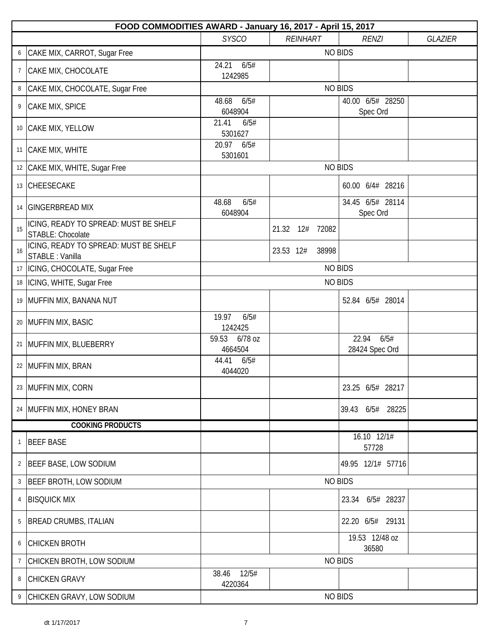|                | FOOD COMMODITIES AWARD - January 16, 2017 - April 15, 2017        |                             |                    |                                 |                |  |  |
|----------------|-------------------------------------------------------------------|-----------------------------|--------------------|---------------------------------|----------------|--|--|
|                |                                                                   | <b>SYSCO</b>                | <b>REINHART</b>    | <b>RENZI</b>                    | <b>GLAZIER</b> |  |  |
| 6              | CAKE MIX, CARROT, Sugar Free                                      |                             |                    | <b>NO BIDS</b>                  |                |  |  |
| $\overline{7}$ | CAKE MIX, CHOCOLATE                                               | 6/5#<br>24.21<br>1242985    |                    |                                 |                |  |  |
| 8              | CAKE MIX, CHOCOLATE, Sugar Free                                   |                             |                    | <b>NO BIDS</b>                  |                |  |  |
| 9              | CAKE MIX, SPICE                                                   | 48.68<br>6/5#<br>6048904    |                    | 40.00 6/5# 28250<br>Spec Ord    |                |  |  |
|                | 10 CAKE MIX, YELLOW                                               | 21.41<br>6/5#<br>5301627    |                    |                                 |                |  |  |
|                | 11   CAKE MIX, WHITE                                              | 20.97 6/5#<br>5301601       |                    |                                 |                |  |  |
|                | 12 CAKE MIX, WHITE, Sugar Free                                    |                             |                    | <b>NO BIDS</b>                  |                |  |  |
|                | 13 CHEESECAKE                                                     |                             |                    | 60.00 6/4# 28216                |                |  |  |
|                | 14   GINGERBREAD MIX                                              | 48.68<br>6/5#<br>6048904    |                    | 34.45 6/5# 28114<br>Spec Ord    |                |  |  |
| 15             | ICING, READY TO SPREAD: MUST BE SHELF<br><b>STABLE: Chocolate</b> |                             | 21.32 12#<br>72082 |                                 |                |  |  |
| 16             | ICING, READY TO SPREAD: MUST BE SHELF<br>STABLE : Vanilla         |                             | 23.53 12#<br>38998 |                                 |                |  |  |
|                | 17  ICING, CHOCOLATE, Sugar Free                                  |                             |                    | <b>NO BIDS</b>                  |                |  |  |
| 18             | ICING, WHITE, Sugar Free                                          |                             |                    | <b>NO BIDS</b>                  |                |  |  |
|                | 19 MUFFIN MIX, BANANA NUT                                         |                             |                    | 52.84 6/5# 28014                |                |  |  |
|                | 20 MUFFIN MIX, BASIC                                              | 19.97<br>6/5#<br>1242425    |                    |                                 |                |  |  |
|                | 21   MUFFIN MIX, BLUEBERRY                                        | 6/78 oz<br>59.53<br>4664504 |                    | 22.94<br>6/5#<br>28424 Spec Ord |                |  |  |
|                | 22   MUFFIN MIX, BRAN                                             | 44.41<br>6/5#<br>4044020    |                    |                                 |                |  |  |
|                | 23 MUFFIN MIX, CORN                                               |                             |                    | 23.25 6/5# 28217                |                |  |  |
|                | 24   MUFFIN MIX, HONEY BRAN                                       |                             |                    | 39.43 6/5# 28225                |                |  |  |
|                | <b>COOKING PRODUCTS</b>                                           |                             |                    |                                 |                |  |  |
| 1              | <b>BEEF BASE</b>                                                  |                             |                    | $16.10$ $12/1#$<br>57728        |                |  |  |
| $\overline{2}$ | BEEF BASE, LOW SODIUM                                             |                             |                    | 49.95 12/1# 57716               |                |  |  |
| 3              | <b>BEEF BROTH, LOW SODIUM</b>                                     |                             |                    | <b>NO BIDS</b>                  |                |  |  |
| 4              | <b>BISQUICK MIX</b>                                               |                             |                    | 23.34 6/5# 28237                |                |  |  |
| 5              | <b>BREAD CRUMBS, ITALIAN</b>                                      |                             |                    | 22.20 6/5# 29131                |                |  |  |
| 6              | <b>CHICKEN BROTH</b>                                              |                             |                    | 19.53 12/48 oz<br>36580         |                |  |  |
| 7              | CHICKEN BROTH, LOW SODIUM                                         |                             |                    | <b>NO BIDS</b>                  |                |  |  |
| 8              | <b>CHICKEN GRAVY</b>                                              | 12/5#<br>38.46<br>4220364   |                    |                                 |                |  |  |
| 9              | CHICKEN GRAVY, LOW SODIUM                                         |                             |                    | <b>NO BIDS</b>                  |                |  |  |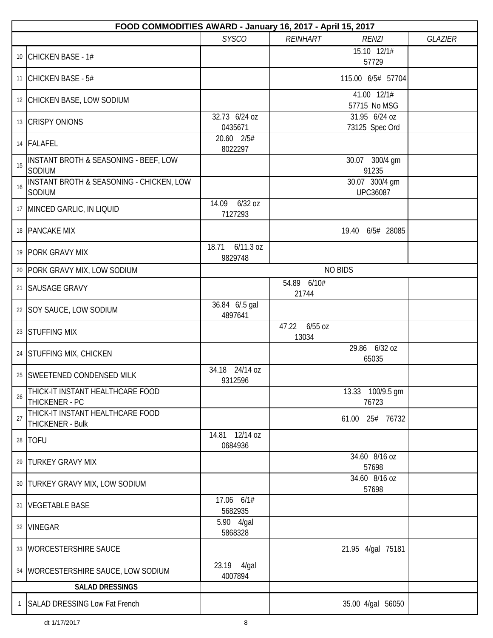|              | FOOD COMMODITIES AWARD - January 16, 2017 - April 15, 2017        |                                 |                             |                                   |  |  |  |  |  |
|--------------|-------------------------------------------------------------------|---------------------------------|-----------------------------|-----------------------------------|--|--|--|--|--|
|              | <b>SYSCO</b><br><b>REINHART</b><br><b>RENZI</b><br><b>GLAZIER</b> |                                 |                             |                                   |  |  |  |  |  |
|              | 10 CHICKEN BASE - 1#                                              |                                 |                             | 15.10 12/1#<br>57729              |  |  |  |  |  |
|              | 11 CHICKEN BASE - 5#                                              |                                 |                             | 115.00 6/5# 57704                 |  |  |  |  |  |
|              | 12 CHICKEN BASE, LOW SODIUM                                       |                                 |                             | 41.00 12/1#<br>57715 No MSG       |  |  |  |  |  |
|              | 13 CRISPY ONIONS                                                  | 32.73 6/24 oz<br>0435671        |                             | 31.95 6/24 oz<br>73125 Spec Ord   |  |  |  |  |  |
|              | 14 FALAFEL                                                        | 20.60 2/5#<br>8022297           |                             |                                   |  |  |  |  |  |
| 15           | INSTANT BROTH & SEASONING - BEEF, LOW<br>SODIUM                   |                                 |                             | 30.07 300/4 gm<br>91235           |  |  |  |  |  |
| 16           | INSTANT BROTH & SEASONING - CHICKEN, LOW<br>SODIUM                |                                 |                             | 30.07 300/4 gm<br><b>UPC36087</b> |  |  |  |  |  |
|              | 17 MINCED GARLIC, IN LIQUID                                       | 14.09 6/32 oz<br>7127293        |                             |                                   |  |  |  |  |  |
|              | 18   PANCAKE MIX                                                  |                                 |                             | 19.40 6/5# 28085                  |  |  |  |  |  |
|              | 19 PORK GRAVY MIX                                                 | $6/11.3$ oz<br>18.71<br>9829748 |                             |                                   |  |  |  |  |  |
|              | 20   PORK GRAVY MIX, LOW SODIUM                                   |                                 |                             | <b>NO BIDS</b>                    |  |  |  |  |  |
| 21           | <b>SAUSAGE GRAVY</b>                                              |                                 | 54.89 6/10#<br>21744        |                                   |  |  |  |  |  |
|              | 22   SOY SAUCE, LOW SODIUM                                        | 36.84 6/.5 gal<br>4897641       |                             |                                   |  |  |  |  |  |
|              | 23 STUFFING MIX                                                   |                                 | 47.22<br>$6/55$ oz<br>13034 |                                   |  |  |  |  |  |
|              | 24 STUFFING MIX, CHICKEN                                          |                                 |                             | 29.86 6/32 oz<br>65035            |  |  |  |  |  |
|              | 25 SWEETENED CONDENSED MILK                                       | 34.18 24/14 oz<br>9312596       |                             |                                   |  |  |  |  |  |
| 26           | THICK-IT INSTANT HEALTHCARE FOOD<br>THICKENER - PC                |                                 |                             | 13.33 100/9.5 gm<br>76723         |  |  |  |  |  |
| 27           | THICK-IT INSTANT HEALTHCARE FOOD<br>THICKENER - Bulk              |                                 |                             | 61.00 25# 76732                   |  |  |  |  |  |
|              | 28   TOFU                                                         | 14.81 12/14 oz<br>0684936       |                             |                                   |  |  |  |  |  |
|              | 29   TURKEY GRAVY MIX                                             |                                 |                             | 34.60 8/16 oz<br>57698            |  |  |  |  |  |
|              | 30   TURKEY GRAVY MIX, LOW SODIUM                                 |                                 |                             | 34.60 8/16 oz<br>57698            |  |  |  |  |  |
|              | 31   VEGETABLE BASE                                               | 17.06 6/1#<br>5682935           |                             |                                   |  |  |  |  |  |
|              | 32 VINEGAR                                                        | 5.90 4/gal<br>5868328           |                             |                                   |  |  |  |  |  |
|              | 33   WORCESTERSHIRE SAUCE                                         |                                 |                             | 21.95 4/gal 75181                 |  |  |  |  |  |
|              | 34   WORCESTERSHIRE SAUCE, LOW SODIUM                             | 23.19<br>4/gal<br>4007894       |                             |                                   |  |  |  |  |  |
|              | <b>SALAD DRESSINGS</b>                                            |                                 |                             |                                   |  |  |  |  |  |
| $\mathbf{1}$ | SALAD DRESSING Low Fat French                                     |                                 |                             | 35.00 4/gal 56050                 |  |  |  |  |  |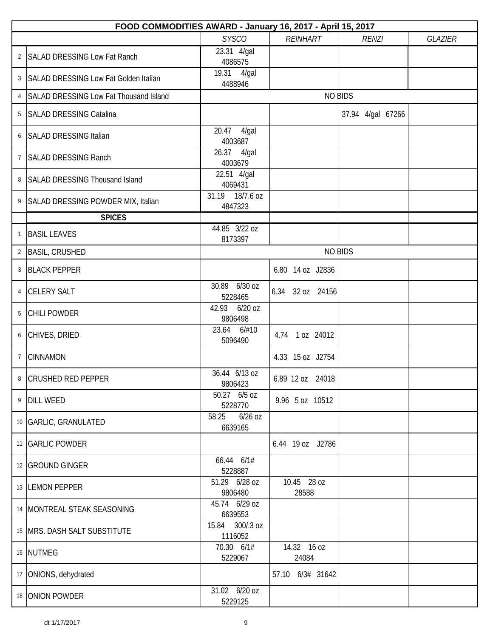|                | FOOD COMMODITIES AWARD - January 16, 2017 - April 15, 2017 |                               |                      |                   |                |  |
|----------------|------------------------------------------------------------|-------------------------------|----------------------|-------------------|----------------|--|
|                |                                                            | <b>SYSCO</b>                  | <b>REINHART</b>      | <b>RENZI</b>      | <b>GLAZIER</b> |  |
| $\overline{2}$ | <b>SALAD DRESSING Low Fat Ranch</b>                        | 23.31 4/gal<br>4086575        |                      |                   |                |  |
| 3              | SALAD DRESSING Low Fat Golden Italian                      | 19.31 4/gal<br>4488946        |                      |                   |                |  |
| $\overline{4}$ | <b>SALAD DRESSING Low Fat Thousand Island</b>              |                               | <b>NO BIDS</b>       |                   |                |  |
| 5              | <b>SALAD DRESSING Catalina</b>                             |                               |                      | 37.94 4/gal 67266 |                |  |
| 6              | <b>SALAD DRESSING Italian</b>                              | 20.47<br>4/gal<br>4003687     |                      |                   |                |  |
| $7^{\circ}$    | <b>SALAD DRESSING Ranch</b>                                | 26.37 4/gal<br>4003679        |                      |                   |                |  |
| 8              | SALAD DRESSING Thousand Island                             | 22.51 4/gal<br>4069431        |                      |                   |                |  |
| 9              | SALAD DRESSING POWDER MIX, Italian                         | 31.19 18/7.6 oz<br>4847323    |                      |                   |                |  |
|                | <b>SPICES</b>                                              |                               |                      |                   |                |  |
| $\mathbf{1}$   | <b>BASIL LEAVES</b>                                        | 44.85 3/22 oz<br>8173397      |                      |                   |                |  |
| $\overline{2}$ | <b>BASIL, CRUSHED</b>                                      |                               |                      | <b>NO BIDS</b>    |                |  |
| $\mathfrak{Z}$ | <b>BLACK PEPPER</b>                                        |                               | 6.80 14 oz J2836     |                   |                |  |
| 4              | <b>CELERY SALT</b>                                         | 30.89 6/30 oz<br>5228465      | 6.34 32 oz 24156     |                   |                |  |
| 5              | <b>CHILI POWDER</b>                                        | 42.93 6/20 oz<br>9806498      |                      |                   |                |  |
| 6              | CHIVES, DRIED                                              | 23.64 6/#10<br>5096490        | 4.74 1 oz 24012      |                   |                |  |
| $\overline{7}$ | <b>CINNAMON</b>                                            |                               | 4.33 15 oz J2754     |                   |                |  |
|                | 8 CRUSHED RED PEPPER                                       | 36.44 6/13 oz<br>9806423      | 6.89 12 oz 24018     |                   |                |  |
| 9              | <b>DILL WEED</b>                                           | 50.27 6/5 oz<br>5228770       | 9.96 5 oz 10512      |                   |                |  |
|                | 10 GARLIC, GRANULATED                                      | $6/26$ oz<br>58.25<br>6639165 |                      |                   |                |  |
|                | 11 GARLIC POWDER                                           |                               | 6.44 19 oz J2786     |                   |                |  |
|                | 12 GROUND GINGER                                           | 66.44 6/1#<br>5228887         |                      |                   |                |  |
|                | 13 LEMON PEPPER                                            | 51.29 6/28 oz<br>9806480      | 10.45 28 oz<br>28588 |                   |                |  |
|                | 14   MONTREAL STEAK SEASONING                              | 45.74 6/29 oz<br>6639553      |                      |                   |                |  |
|                | 15   MRS. DASH SALT SUBSTITUTE                             | 15.84 300/.3 oz<br>1116052    |                      |                   |                |  |
|                | 16 NUTMEG                                                  | 70.30 6/1#<br>5229067         | 14.32 16 oz<br>24084 |                   |                |  |
| 17             | ONIONS, dehydrated                                         |                               | 57.10 6/3# 31642     |                   |                |  |
|                | 18 ONION POWDER                                            | 31.02 6/20 oz<br>5229125      |                      |                   |                |  |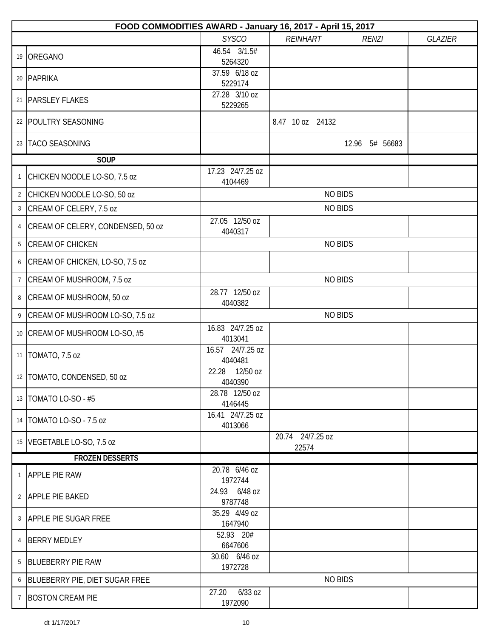|                | FOOD COMMODITIES AWARD - January 16, 2017 - April 15, 2017 |                               |                           |                |                |  |  |
|----------------|------------------------------------------------------------|-------------------------------|---------------------------|----------------|----------------|--|--|
|                |                                                            | <b>SYSCO</b>                  | <b>REINHART</b>           | <b>RENZI</b>   | <b>GLAZIER</b> |  |  |
|                | 19 OREGANO                                                 | 46.54 3/1.5#<br>5264320       |                           |                |                |  |  |
|                | 20 PAPRIKA                                                 | 37.59 6/18 oz<br>5229174      |                           |                |                |  |  |
|                | 21   PARSLEY FLAKES                                        | 27.28 3/10 oz<br>5229265      |                           |                |                |  |  |
|                | 22   POULTRY SEASONING                                     |                               | 8.47 10 oz 24132          |                |                |  |  |
|                | 23   TACO SEASONING                                        |                               |                           | 12.96 5# 56683 |                |  |  |
|                | <b>SOUP</b>                                                |                               |                           |                |                |  |  |
| 1              | CHICKEN NOODLE LO-SO, 7.5 oz                               | 17.23 24/7.25 oz<br>4104469   |                           |                |                |  |  |
| $\overline{2}$ | CHICKEN NOODLE LO-SO, 50 oz                                |                               |                           | <b>NO BIDS</b> |                |  |  |
| 3              | CREAM OF CELERY, 7.5 oz                                    |                               |                           | <b>NO BIDS</b> |                |  |  |
| 4              | CREAM OF CELERY, CONDENSED, 50 oz                          | 27.05 12/50 oz<br>4040317     |                           |                |                |  |  |
| 5              | <b>CREAM OF CHICKEN</b>                                    |                               |                           | <b>NO BIDS</b> |                |  |  |
| 6              | CREAM OF CHICKEN, LO-SO, 7.5 oz                            |                               |                           |                |                |  |  |
| $\overline{7}$ | CREAM OF MUSHROOM, 7.5 oz                                  |                               |                           | <b>NO BIDS</b> |                |  |  |
| 8              | CREAM OF MUSHROOM, 50 oz                                   | 28.77 12/50 oz<br>4040382     |                           |                |                |  |  |
| 9              | CREAM OF MUSHROOM LO-SO, 7.5 oz                            |                               |                           | <b>NO BIDS</b> |                |  |  |
|                | 10   CREAM OF MUSHROOM LO-SO, #5                           | 16.83 24/7.25 oz<br>4013041   |                           |                |                |  |  |
|                | 11   TOMATO, 7.5 oz                                        | 16.57 24/7.25 oz<br>4040481   |                           |                |                |  |  |
|                | 12   TOMATO, CONDENSED, 50 oz                              | 22.28 12/50 oz<br>4040390     |                           |                |                |  |  |
|                | 13   TOMATO LO-SO - #5                                     | 28.78 12/50 oz<br>4146445     |                           |                |                |  |  |
|                | 14   TOMATO LO-SO - 7.5 oz                                 | 16.41 24/7.25 oz<br>4013066   |                           |                |                |  |  |
|                | 15 VEGETABLE LO-SO, 7.5 oz                                 |                               | 20.74 24/7.25 oz<br>22574 |                |                |  |  |
|                | <b>FROZEN DESSERTS</b>                                     |                               |                           |                |                |  |  |
|                | <b>APPLE PIE RAW</b>                                       | 20.78 6/46 oz<br>1972744      |                           |                |                |  |  |
|                | 2 APPLE PIE BAKED                                          | 24.93 6/48 oz<br>9787748      |                           |                |                |  |  |
|                | 3 APPLE PIE SUGAR FREE                                     | 35.29 4/49 oz<br>1647940      |                           |                |                |  |  |
| 4              | <b>BERRY MEDLEY</b>                                        | 52.93 20#<br>6647606          |                           |                |                |  |  |
| 5              | <b>BLUEBERRY PIE RAW</b>                                   | 30.60 6/46 oz<br>1972728      |                           |                |                |  |  |
| 6              | BLUEBERRY PIE, DIET SUGAR FREE                             |                               |                           | <b>NO BIDS</b> |                |  |  |
| $\overline{7}$ | <b>BOSTON CREAM PIE</b>                                    | $6/33$ oz<br>27.20<br>1972090 |                           |                |                |  |  |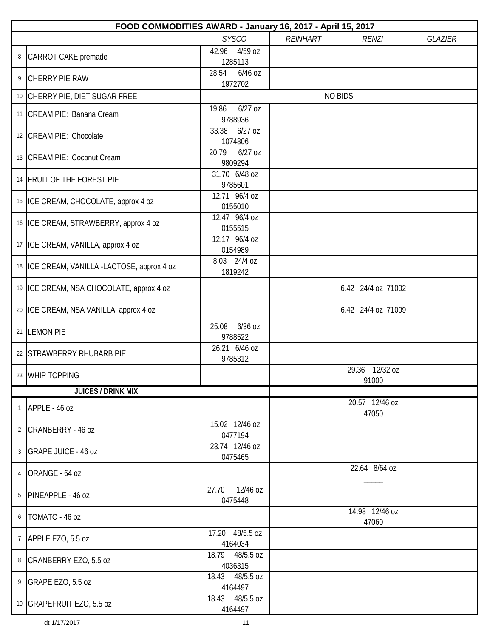|                | FOOD COMMODITIES AWARD - January 16, 2017 - April 15, 2017 |                               |  |                         |  |  |  |
|----------------|------------------------------------------------------------|-------------------------------|--|-------------------------|--|--|--|
|                | <b>SYSCO</b><br>REINHART<br><b>GLAZIER</b><br><b>RENZI</b> |                               |  |                         |  |  |  |
| 8              | CARROT CAKE premade                                        | 42.96<br>4/59 oz<br>1285113   |  |                         |  |  |  |
| 9              | <b>CHERRY PIE RAW</b>                                      | 28.54<br>$6/46$ oz<br>1972702 |  |                         |  |  |  |
|                | 10 CHERRY PIE, DIET SUGAR FREE                             |                               |  | <b>NO BIDS</b>          |  |  |  |
|                | 11 CREAM PIE: Banana Cream                                 | $6/27$ oz<br>19.86<br>9788936 |  |                         |  |  |  |
|                | 12 CREAM PIE: Chocolate                                    | 33.38<br>$6/27$ oz<br>1074806 |  |                         |  |  |  |
|                | 13   CREAM PIE: Coconut Cream                              | 20.79<br>$6/27$ oz<br>9809294 |  |                         |  |  |  |
|                | 14 FRUIT OF THE FOREST PIE                                 | 31.70 6/48 oz<br>9785601      |  |                         |  |  |  |
|                | 15   ICE CREAM, CHOCOLATE, approx 4 oz                     | 12.71 96/4 oz<br>0155010      |  |                         |  |  |  |
|                | 16   ICE CREAM, STRAWBERRY, approx 4 oz                    | 12.47 96/4 oz<br>0155515      |  |                         |  |  |  |
|                | 17   ICE CREAM, VANILLA, approx 4 oz                       | 12.17 96/4 oz<br>0154989      |  |                         |  |  |  |
|                | 18   ICE CREAM, VANILLA -LACTOSE, approx 4 oz              | 8.03 24/4 oz<br>1819242       |  |                         |  |  |  |
|                | 19   ICE CREAM, NSA CHOCOLATE, approx 4 oz                 |                               |  | 6.42 24/4 oz 71002      |  |  |  |
|                | 20   ICE CREAM, NSA VANILLA, approx 4 oz                   |                               |  | 6.42 24/4 oz 71009      |  |  |  |
|                | 21 LEMON PIE                                               | 25.08<br>6/36 oz<br>9788522   |  |                         |  |  |  |
|                | 22 STRAWBERRY RHUBARB PIE                                  | 26.21 6/46 oz<br>9785312      |  |                         |  |  |  |
|                | 23 WHIP TOPPING                                            |                               |  | 29.36 12/32 oz<br>91000 |  |  |  |
|                | <b>JUICES / DRINK MIX</b>                                  |                               |  |                         |  |  |  |
| $\mathbf{1}$   | APPLE - 46 oz                                              |                               |  | 20.57 12/46 oz<br>47050 |  |  |  |
|                | 2 CRANBERRY - 46 oz                                        | 15.02 12/46 oz<br>0477194     |  |                         |  |  |  |
|                | 3 GRAPE JUICE - 46 oz                                      | 23.74 12/46 oz<br>0475465     |  |                         |  |  |  |
|                | 4 ORANGE - 64 oz                                           |                               |  | 22.64 8/64 oz           |  |  |  |
| 5              | PINEAPPLE - 46 oz                                          | 27.70 12/46 oz<br>0475448     |  |                         |  |  |  |
| 6              | TOMATO - 46 oz                                             |                               |  | 14.98 12/46 oz<br>47060 |  |  |  |
| $7\phantom{.}$ | APPLE EZO, 5.5 oz                                          | 17.20 48/5.5 oz<br>4164034    |  |                         |  |  |  |
|                | 8 CRANBERRY EZO, 5.5 oz                                    | 18.79 48/5.5 oz<br>4036315    |  |                         |  |  |  |
| 9              | GRAPE EZO, 5.5 oz                                          | 18.43 48/5.5 oz<br>4164497    |  |                         |  |  |  |
|                | 10 GRAPEFRUIT EZO, 5.5 oz                                  | 18.43 48/5.5 oz<br>4164497    |  |                         |  |  |  |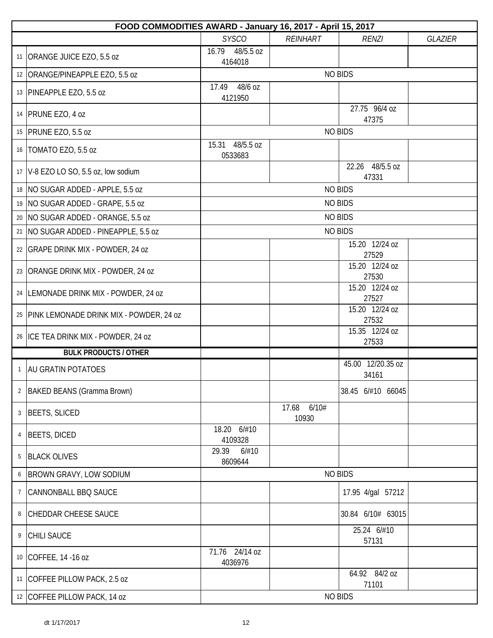|                | FOOD COMMODITIES AWARD - January 16, 2017 - April 15, 2017 |                             |                      |                            |                |  |  |
|----------------|------------------------------------------------------------|-----------------------------|----------------------|----------------------------|----------------|--|--|
|                |                                                            | <b>SYSCO</b>                | <b>REINHART</b>      | <b>RENZI</b>               | <b>GLAZIER</b> |  |  |
|                | 11 ORANGE JUICE EZO, 5.5 oz                                | 16.79 48/5.5 oz<br>4164018  |                      |                            |                |  |  |
|                | 12 ORANGE/PINEAPPLE EZO, 5.5 oz                            |                             |                      | <b>NO BIDS</b>             |                |  |  |
|                | 13 PINEAPPLE EZO, 5.5 oz                                   | 48/6 oz<br>17.49<br>4121950 |                      |                            |                |  |  |
|                | 14   PRUNE EZO, 4 oz                                       |                             |                      | 27.75 96/4 oz<br>47375     |                |  |  |
|                | 15   PRUNE EZO, 5.5 oz                                     |                             |                      | <b>NO BIDS</b>             |                |  |  |
|                | 16   TOMATO EZO, 5.5 oz                                    | 15.31 48/5.5 oz<br>0533683  |                      |                            |                |  |  |
|                | 17   V-8 EZO LO SO, 5.5 oz, low sodium                     |                             |                      | 22.26 48/5.5 oz<br>47331   |                |  |  |
|                | 18   NO SUGAR ADDED - APPLE, 5.5 oz                        |                             |                      | <b>NO BIDS</b>             |                |  |  |
|                | 19 NO SUGAR ADDED - GRAPE, 5.5 oz                          |                             |                      | <b>NO BIDS</b>             |                |  |  |
|                | 20   NO SUGAR ADDED - ORANGE, 5.5 oz                       |                             |                      | <b>NO BIDS</b>             |                |  |  |
|                | 21   NO SUGAR ADDED - PINEAPPLE, 5.5 oz                    |                             |                      | <b>NO BIDS</b>             |                |  |  |
|                | 22   GRAPE DRINK MIX - POWDER, 24 oz                       |                             |                      | 15.20 12/24 oz<br>27529    |                |  |  |
|                | 23   ORANGE DRINK MIX - POWDER, 24 oz                      |                             |                      | 15.20 12/24 oz<br>27530    |                |  |  |
|                | 24   LEMONADE DRINK MIX - POWDER, 24 oz                    |                             |                      | 15.20 12/24 oz<br>27527    |                |  |  |
|                | 25   PINK LEMONADE DRINK MIX - POWDER, 24 oz               |                             |                      | 15.20 12/24 oz<br>27532    |                |  |  |
|                | 26 ICE TEA DRINK MIX - POWDER, 24 oz                       |                             |                      | 15.35 12/24 oz<br>27533    |                |  |  |
|                | <b>BULK PRODUCTS / OTHER</b>                               |                             |                      |                            |                |  |  |
| $\mathbf{1}$   | <b>AU GRATIN POTATOES</b>                                  |                             |                      | 45.00 12/20.35 oz<br>34161 |                |  |  |
|                | 2   BAKED BEANS (Gramma Brown)                             |                             |                      | 38.45 6/#10 66045          |                |  |  |
| 3              | BEETS, SLICED                                              |                             | 17.68 6/10#<br>10930 |                            |                |  |  |
| 4              | <b>BEETS, DICED</b>                                        | 18.20 6/#10<br>4109328      |                      |                            |                |  |  |
| 5              | <b>BLACK OLIVES</b>                                        | 29.39<br>6/#10<br>8609644   |                      |                            |                |  |  |
| 6              | <b>BROWN GRAVY, LOW SODIUM</b>                             |                             |                      | <b>NO BIDS</b>             |                |  |  |
| $\overline{7}$ | <b>CANNONBALL BBQ SAUCE</b>                                |                             |                      | 17.95 4/gal 57212          |                |  |  |
| 8              | <b>CHEDDAR CHEESE SAUCE</b>                                |                             |                      | 30.84 6/10# 63015          |                |  |  |
| 9              | <b>CHILI SAUCE</b>                                         |                             |                      | 25.24 6/#10<br>57131       |                |  |  |
|                | 10 COFFEE, 14 -16 oz                                       | 71.76 24/14 oz<br>4036976   |                      |                            |                |  |  |
|                | 11 COFFEE PILLOW PACK, 2.5 oz                              |                             |                      | 64.92 84/2 oz<br>71101     |                |  |  |
|                | 12 COFFEE PILLOW PACK, 14 oz                               |                             |                      | <b>NO BIDS</b>             |                |  |  |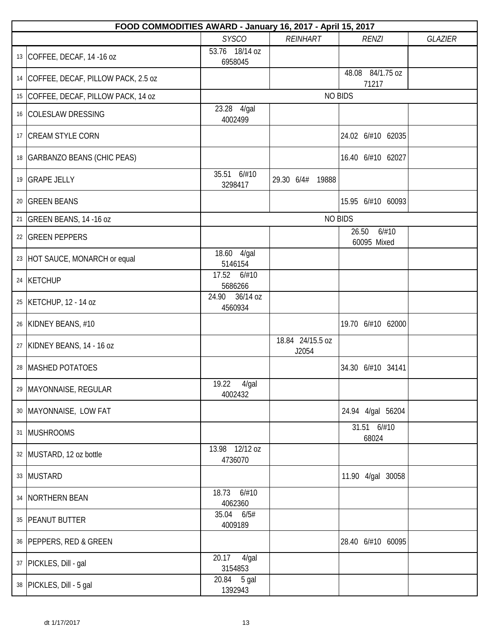| FOOD COMMODITIES AWARD - January 16, 2017 - April 15, 2017 |                              |                           |                               |                |
|------------------------------------------------------------|------------------------------|---------------------------|-------------------------------|----------------|
|                                                            | <b>SYSCO</b>                 | <b>REINHART</b>           | <b>RENZI</b>                  | <b>GLAZIER</b> |
| 13 COFFEE, DECAF, 14 -16 oz                                | 53.76 18/14 oz<br>6958045    |                           |                               |                |
| 14 COFFEE, DECAF, PILLOW PACK, 2.5 oz                      |                              |                           | 48.08 84/1.75 oz<br>71217     |                |
| 15 COFFEE, DECAF, PILLOW PACK, 14 oz                       |                              |                           | <b>NO BIDS</b>                |                |
| 16 COLESLAW DRESSING                                       | 23.28 4/gal<br>4002499       |                           |                               |                |
| 17 CREAM STYLE CORN                                        |                              |                           | 24.02 6/#10 62035             |                |
| 18 GARBANZO BEANS (CHIC PEAS)                              |                              |                           | 16.40 6/#10 62027             |                |
| 19 GRAPE JELLY                                             | 35.51 6/#10<br>3298417       | 29.30 6/4#<br>19888       |                               |                |
| 20 GREEN BEANS                                             |                              |                           | 15.95 6/#10 60093             |                |
| 21 GREEN BEANS, 14 -16 oz                                  |                              |                           | <b>NO BIDS</b>                |                |
| 22 GREEN PEPPERS                                           |                              |                           | 26.50<br>6/#10<br>60095 Mixed |                |
| 23 HOT SAUCE, MONARCH or equal                             | 18.60 4/gal<br>5146154       |                           |                               |                |
| 24 KETCHUP                                                 | 6/#10<br>17.52<br>5686266    |                           |                               |                |
| 25   KETCHUP, 12 - 14 oz                                   | 36/14 oz<br>24.90<br>4560934 |                           |                               |                |
| 26 KIDNEY BEANS, #10                                       |                              |                           | 19.70 6/#10 62000             |                |
| 27 KIDNEY BEANS, 14 - 16 oz                                |                              | 18.84 24/15.5 oz<br>J2054 |                               |                |
| 28   MASHED POTATOES                                       |                              |                           | 34.30 6/#10 34141             |                |
| 29   MAYONNAISE, REGULAR                                   | 19.22  4/gal<br>4002432      |                           |                               |                |
| 30   MAYONNAISE, LOW FAT                                   |                              |                           | 24.94 4/gal 56204             |                |
| 31 MUSHROOMS                                               |                              |                           | 31.51 6/#10<br>68024          |                |
| 32 MUSTARD, 12 oz bottle                                   | 13.98 12/12 oz<br>4736070    |                           |                               |                |
| 33 MUSTARD                                                 |                              |                           | 11.90 4/gal 30058             |                |
| 34   NORTHERN BEAN                                         | 18.73 6/#10<br>4062360       |                           |                               |                |
| 35   PEANUT BUTTER                                         | 35.04 6/5#<br>4009189        |                           |                               |                |
| 36   PEPPERS, RED & GREEN                                  |                              |                           | 28.40 6/#10 60095             |                |
| 37   PICKLES, Dill - gal                                   | 20.17<br>4/gal<br>3154853    |                           |                               |                |
| 38   PICKLES, Dill - 5 gal                                 | 20.84 5 gal<br>1392943       |                           |                               |                |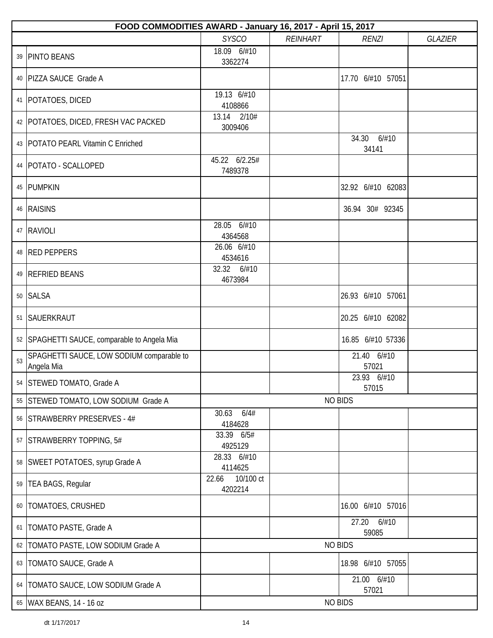|    | FOOD COMMODITIES AWARD - January 16, 2017 - April 15, 2017 |                               |                 |                         |                |  |  |
|----|------------------------------------------------------------|-------------------------------|-----------------|-------------------------|----------------|--|--|
|    |                                                            | <b>SYSCO</b>                  | <b>REINHART</b> | <b>RENZI</b>            | <b>GLAZIER</b> |  |  |
|    | 39 PINTO BEANS                                             | 18.09 6/#10<br>3362274        |                 |                         |                |  |  |
|    | 40   PIZZA SAUCE Grade A                                   |                               |                 | 17.70 6/#10 57051       |                |  |  |
|    | 41   POTATOES, DICED                                       | 19.13 6/#10<br>4108866        |                 |                         |                |  |  |
|    | 42   POTATOES, DICED, FRESH VAC PACKED                     | 2/10#<br>13.14<br>3009406     |                 |                         |                |  |  |
|    | 43   POTATO PEARL Vitamin C Enriched                       |                               |                 | 34.30<br>6/#10<br>34141 |                |  |  |
|    | 44   POTATO - SCALLOPED                                    | 45.22 6/2.25#<br>7489378      |                 |                         |                |  |  |
|    | 45 PUMPKIN                                                 |                               |                 | 32.92 6/#10 62083       |                |  |  |
|    | 46 RAISINS                                                 |                               |                 | 36.94 30# 92345         |                |  |  |
|    | 47 RAVIOLI                                                 | 28.05 6/#10<br>4364568        |                 |                         |                |  |  |
|    | 48 RED PEPPERS                                             | 26.06 6/#10<br>4534616        |                 |                         |                |  |  |
|    | 49 REFRIED BEANS                                           | 32.32 6/#10<br>4673984        |                 |                         |                |  |  |
|    | 50 SALSA                                                   |                               |                 | 26.93 6/#10 57061       |                |  |  |
|    | 51 SAUERKRAUT                                              |                               |                 | 20.25 6/#10 62082       |                |  |  |
|    | 52 SPAGHETTI SAUCE, comparable to Angela Mia               |                               |                 | 16.85 6/#10 57336       |                |  |  |
| 53 | SPAGHETTI SAUCE, LOW SODIUM comparable to<br>Angela Mia    |                               |                 | 21.40 6/#10<br>57021    |                |  |  |
|    | 54 STEWED TOMATO, Grade A                                  |                               |                 | 23.93 6/#10<br>57015    |                |  |  |
|    | 55 STEWED TOMATO, LOW SODIUM Grade A                       |                               |                 | <b>NO BIDS</b>          |                |  |  |
|    | 56 STRAWBERRY PRESERVES - 4#                               | 30.63<br>6/4#<br>4184628      |                 |                         |                |  |  |
|    | 57 STRAWBERRY TOPPING, 5#                                  | 33.39 6/5#<br>4925129         |                 |                         |                |  |  |
|    | 58 SWEET POTATOES, syrup Grade A                           | 28.33 6/#10<br>4114625        |                 |                         |                |  |  |
|    | 59   TEA BAGS, Regular                                     | 10/100 ct<br>22.66<br>4202214 |                 |                         |                |  |  |
|    | 60   TOMATOES, CRUSHED                                     |                               |                 | 16.00 6/#10 57016       |                |  |  |
|    | 61   TOMATO PASTE, Grade A                                 |                               |                 | 27.20<br>6/#10<br>59085 |                |  |  |
| 62 | <b>TOMATO PASTE, LOW SODIUM Grade A</b>                    |                               |                 | <b>NO BIDS</b>          |                |  |  |
|    | 63   TOMATO SAUCE, Grade A                                 |                               |                 | 18.98 6/#10 57055       |                |  |  |
|    | 64   TOMATO SAUCE, LOW SODIUM Grade A                      |                               |                 | 21.00 6/#10<br>57021    |                |  |  |
|    | 65   WAX BEANS, 14 - 16 oz                                 |                               |                 | <b>NO BIDS</b>          |                |  |  |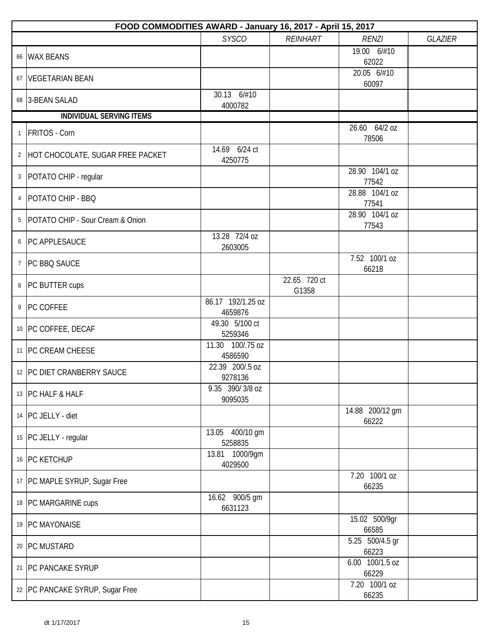|              | FOOD COMMODITIES AWARD - January 16, 2017 - April 15, 2017 |                              |                       |                          |                |  |  |
|--------------|------------------------------------------------------------|------------------------------|-----------------------|--------------------------|----------------|--|--|
|              |                                                            | <b>SYSCO</b>                 | <b>REINHART</b>       | <b>RENZI</b>             | <b>GLAZIER</b> |  |  |
|              | 66 WAX BEANS                                               |                              |                       | 19.00 6/#10<br>62022     |                |  |  |
|              | 67 VEGETARIAN BEAN                                         |                              |                       | 20.05 6/#10<br>60097     |                |  |  |
|              | 68 3-BEAN SALAD                                            | 30.13 6/#10<br>4000782       |                       |                          |                |  |  |
|              | <b>INDIVIDUAL SERVING ITEMS</b>                            |                              |                       |                          |                |  |  |
| $\mathbf{1}$ | <b>FRITOS</b> - Corn                                       |                              |                       | 26.60 64/2 oz<br>78506   |                |  |  |
|              | 2 HOT CHOCOLATE, SUGAR FREE PACKET                         | 14.69 6/24 ct<br>4250775     |                       |                          |                |  |  |
|              | 3   POTATO CHIP - regular                                  |                              |                       | 28.90 104/1 oz<br>77542  |                |  |  |
| 4            | POTATO CHIP - BBQ                                          |                              |                       | 28.88 104/1 oz<br>77541  |                |  |  |
| 5            | POTATO CHIP - Sour Cream & Onion                           |                              |                       | 28.90 104/1 oz<br>77543  |                |  |  |
|              | 6   PC APPLESAUCE                                          | 13.28 72/4 oz<br>2603005     |                       |                          |                |  |  |
|              | 7 PC BBQ SAUCE                                             |                              |                       | 7.52 100/1 oz<br>66218   |                |  |  |
|              | 8 PC BUTTER cups                                           |                              | 22.65 720 ct<br>G1358 |                          |                |  |  |
|              | 9 PC COFFEE                                                | 86.17 192/1.25 oz<br>4659876 |                       |                          |                |  |  |
|              | 10 PC COFFEE, DECAF                                        | 49.30 5/100 ct<br>5259346    |                       |                          |                |  |  |
|              | 11 PC CREAM CHEESE                                         | 11.30 100/.75 oz<br>4586590  |                       |                          |                |  |  |
|              | 12 PC DIET CRANBERRY SAUCE                                 | 22.39 200/.5 oz<br>9278136   |                       |                          |                |  |  |
|              | 13 PC HALF & HALF                                          | 9.35 390/3/8 oz<br>9095035   |                       |                          |                |  |  |
|              | 14 PC JELLY - diet                                         |                              |                       | 14.88 200/12 gm<br>66222 |                |  |  |
|              | 15 PC JELLY - regular                                      | 13.05 400/10 gm<br>5258835   |                       |                          |                |  |  |
|              | 16 PC KETCHUP                                              | 13.81 1000/9qm<br>4029500    |                       |                          |                |  |  |
|              | 17   PC MAPLE SYRUP, Sugar Free                            |                              |                       | 7.20 100/1 oz<br>66235   |                |  |  |
|              | 18 PC MARGARINE cups                                       | 16.62 900/5 gm<br>6631123    |                       |                          |                |  |  |
|              | 19 PC MAYONAISE                                            |                              |                       | 15.02 500/9gr<br>66585   |                |  |  |
|              | 20 PC MUSTARD                                              |                              |                       | 5.25 500/4.5 gr<br>66223 |                |  |  |
|              | 21   PC PANCAKE SYRUP                                      |                              |                       | 6.00 100/1.5 oz<br>66229 |                |  |  |
|              | 22   PC PANCAKE SYRUP, Sugar Free                          |                              |                       | 7.20 100/1 oz<br>66235   |                |  |  |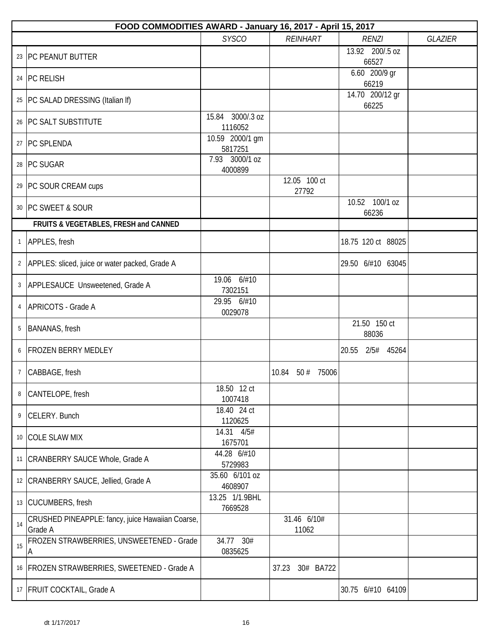|                | FOOD COMMODITIES AWARD - January 16, 2017 - April 15, 2017  |                             |                              |                          |                |
|----------------|-------------------------------------------------------------|-----------------------------|------------------------------|--------------------------|----------------|
|                |                                                             | <b>SYSCO</b>                | <b>REINHART</b>              | <b>RENZI</b>             | <b>GLAZIER</b> |
|                | 23 PC PEANUT BUTTER                                         |                             |                              | 13.92 200/.5 oz<br>66527 |                |
|                | 24 PC RELISH                                                |                             |                              | 6.60 200/9 gr<br>66219   |                |
|                | 25   PC SALAD DRESSING (Italian If)                         |                             |                              | 14.70 200/12 gr<br>66225 |                |
|                | 26   PC SALT SUBSTITUTE                                     | 15.84 3000/.3 oz<br>1116052 |                              |                          |                |
|                | 27   PC SPLENDA                                             | 10.59 2000/1 gm<br>5817251  |                              |                          |                |
|                | 28 PC SUGAR                                                 | 7.93 3000/1 oz<br>4000899   |                              |                          |                |
|                | 29 PC SOUR CREAM cups                                       |                             | 12.05 100 ct<br>27792        |                          |                |
|                | 30 PC SWEET & SOUR                                          |                             |                              | 10.52 100/1 oz<br>66236  |                |
|                | FRUITS & VEGETABLES, FRESH and CANNED                       |                             |                              |                          |                |
| $\mathbf{1}$   | APPLES, fresh                                               |                             |                              | 18.75 120 ct 88025       |                |
|                | 2 APPLES: sliced, juice or water packed, Grade A            |                             |                              | 29.50 6/#10 63045        |                |
|                | 3   APPLESAUCE Unsweetened, Grade A                         | 19.06 6/#10<br>7302151      |                              |                          |                |
| 4              | APRICOTS - Grade A                                          | 29.95 6/#10<br>0029078      |                              |                          |                |
| 5              | BANANAS, fresh                                              |                             |                              | 21.50 150 ct<br>88036    |                |
| 6              | <b>FROZEN BERRY MEDLEY</b>                                  |                             |                              | 20.55 2/5# 45264         |                |
| $\overline{7}$ | CABBAGE, fresh                                              |                             | 10.84 50 # 75006             |                          |                |
| 8              | CANTELOPE, fresh                                            | 18.50 12 ct<br>1007418      |                              |                          |                |
|                | 9 CELERY. Bunch                                             | 18.40 24 ct<br>1120625      |                              |                          |                |
|                | 10 COLE SLAW MIX                                            | 14.31 4/5#<br>1675701       |                              |                          |                |
|                | 11   CRANBERRY SAUCE Whole, Grade A                         | 44.28 6/#10<br>5729983      |                              |                          |                |
|                | 12 CRANBERRY SAUCE, Jellied, Grade A                        | 35.60 6/101 oz<br>4608907   |                              |                          |                |
|                | 13 CUCUMBERS, fresh                                         | 13.25 1/1.9BHL<br>7669528   |                              |                          |                |
| 14             | CRUSHED PINEAPPLE: fancy, juice Hawaiian Coarse,<br>Grade A |                             | 31.46 6/10#<br>11062         |                          |                |
| 15             | FROZEN STRAWBERRIES, UNSWEETENED - Grade<br>Α               | 34.77 30#<br>0835625        |                              |                          |                |
|                | 16 FROZEN STRAWBERRIES, SWEETENED - Grade A                 |                             | 37.23<br>30#<br><b>BA722</b> |                          |                |
|                | 17   FRUIT COCKTAIL, Grade A                                |                             |                              | 30.75 6/#10 64109        |                |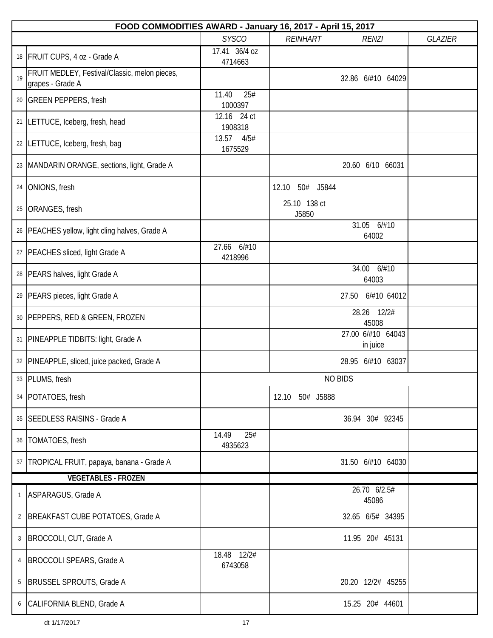|              | FOOD COMMODITIES AWARD - January 16, 2017 - April 15, 2017        |                          |                       |                               |                |
|--------------|-------------------------------------------------------------------|--------------------------|-----------------------|-------------------------------|----------------|
|              |                                                                   | <b>SYSCO</b>             | <b>REINHART</b>       | <b>RENZI</b>                  | <b>GLAZIER</b> |
|              | 18   FRUIT CUPS, 4 oz - Grade A                                   | 17.41 36/4 oz<br>4714663 |                       |                               |                |
| 19           | FRUIT MEDLEY, Festival/Classic, melon pieces,<br>grapes - Grade A |                          |                       | 32.86 6/#10 64029             |                |
|              | 20 GREEN PEPPERS, fresh                                           | 11.40<br>25#<br>1000397  |                       |                               |                |
| 21           | LETTUCE, Iceberg, fresh, head                                     | 12.16 24 ct<br>1908318   |                       |                               |                |
|              | 22  LETTUCE, Iceberg, fresh, bag                                  | 13.57<br>4/5#<br>1675529 |                       |                               |                |
|              | 23  MANDARIN ORANGE, sections, light, Grade A                     |                          |                       | 20.60 6/10 66031              |                |
| 24           | ONIONS, fresh                                                     |                          | 12.10<br>50#<br>J5844 |                               |                |
| 25           | <b>ORANGES, fresh</b>                                             |                          | 25.10 138 ct<br>J5850 |                               |                |
|              | 26   PEACHES yellow, light cling halves, Grade A                  |                          |                       | 31.05<br>6/#10<br>64002       |                |
|              | 27   PEACHES sliced, light Grade A                                | 27.66 6/#10<br>4218996   |                       |                               |                |
|              | 28   PEARS halves, light Grade A                                  |                          |                       | 34.00 6/#10<br>64003          |                |
|              | 29   PEARS pieces, light Grade A                                  |                          |                       | 6/#10 64012<br>27.50          |                |
|              | 30   PEPPERS, RED & GREEN, FROZEN                                 |                          |                       | 28.26 12/2#<br>45008          |                |
| 31           | PINEAPPLE TIDBITS: light, Grade A                                 |                          |                       | 27.00 6/#10 64043<br>in juice |                |
|              | 32   PINEAPPLE, sliced, juice packed, Grade A                     |                          |                       | 28.95 6/#10 63037             |                |
|              | 33 PLUMS, fresh                                                   |                          |                       | <b>NO BIDS</b>                |                |
|              | 34   POTATOES, fresh                                              |                          | 12.10 50# J5888       |                               |                |
|              | 35   SEEDLESS RAISINS - Grade A                                   |                          |                       | 36.94 30# 92345               |                |
|              | 36   TOMATOES, fresh                                              | 25#<br>14.49<br>4935623  |                       |                               |                |
|              | 37   TROPICAL FRUIT, papaya, banana - Grade A                     |                          |                       | 31.50 6/#10 64030             |                |
|              | <b>VEGETABLES - FROZEN</b>                                        |                          |                       |                               |                |
| $\mathbf{1}$ | ASPARAGUS, Grade A                                                |                          |                       | 26.70 6/2.5#<br>45086         |                |
| 2            | BREAKFAST CUBE POTATOES, Grade A                                  |                          |                       | 32.65 6/5# 34395              |                |
| 3            | BROCCOLI, CUT, Grade A                                            |                          |                       | 11.95 20# 45131               |                |
| 4            | <b>BROCCOLI SPEARS, Grade A</b>                                   | 18.48 12/2#<br>6743058   |                       |                               |                |
| 5            | BRUSSEL SPROUTS, Grade A                                          |                          |                       | 20.20 12/2# 45255             |                |
|              | 6 CALIFORNIA BLEND, Grade A                                       |                          |                       | 15.25 20# 44601               |                |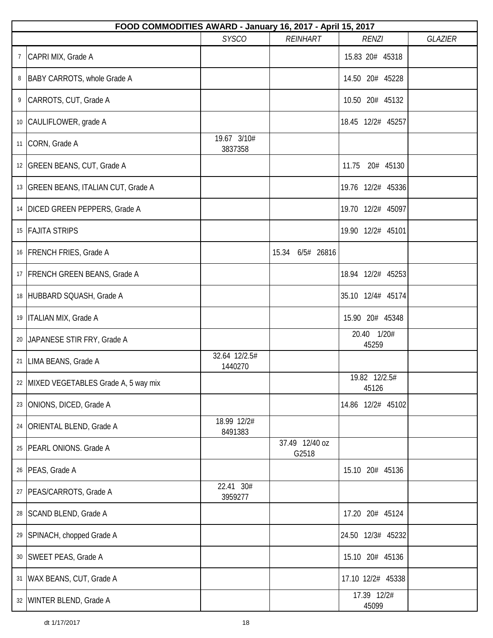|                | FOOD COMMODITIES AWARD - January 16, 2017 - April 15, 2017 |                          |                         |                        |                |  |  |  |
|----------------|------------------------------------------------------------|--------------------------|-------------------------|------------------------|----------------|--|--|--|
|                |                                                            | <b>SYSCO</b>             | <b>REINHART</b>         | <b>RENZI</b>           | <b>GLAZIER</b> |  |  |  |
| $\overline{7}$ | CAPRI MIX, Grade A                                         |                          |                         | 15.83 20# 45318        |                |  |  |  |
| 8              | BABY CARROTS, whole Grade A                                |                          |                         | 14.50 20# 45228        |                |  |  |  |
| 9              | CARROTS, CUT, Grade A                                      |                          |                         | 10.50 20# 45132        |                |  |  |  |
|                | 10 CAULIFLOWER, grade A                                    |                          |                         | 18.45 12/2# 45257      |                |  |  |  |
|                | 11 CORN, Grade A                                           | 19.67 3/10#<br>3837358   |                         |                        |                |  |  |  |
|                | 12 GREEN BEANS, CUT, Grade A                               |                          |                         | 20# 45130<br>11.75     |                |  |  |  |
|                | 13   GREEN BEANS, ITALIAN CUT, Grade A                     |                          |                         | 19.76 12/2# 45336      |                |  |  |  |
|                | 14   DICED GREEN PEPPERS, Grade A                          |                          |                         | 19.70 12/2# 45097      |                |  |  |  |
|                | 15 FAJITA STRIPS                                           |                          |                         | 19.90 12/2# 45101      |                |  |  |  |
|                | 16   FRENCH FRIES, Grade A                                 |                          | 15.34 6/5# 26816        |                        |                |  |  |  |
|                | 17   FRENCH GREEN BEANS, Grade A                           |                          |                         | 18.94 12/2# 45253      |                |  |  |  |
|                | 18 HUBBARD SQUASH, Grade A                                 |                          |                         | 35.10 12/4# 45174      |                |  |  |  |
|                | 19   ITALIAN MIX, Grade A                                  |                          |                         | 15.90 20# 45348        |                |  |  |  |
|                | 20 JAPANESE STIR FRY, Grade A                              |                          |                         | 20.40 1/20#<br>45259   |                |  |  |  |
|                | 21   LIMA BEANS, Grade A                                   | 32.64 12/2.5#<br>1440270 |                         |                        |                |  |  |  |
|                | 22 MIXED VEGETABLES Grade A, 5 way mix                     |                          |                         | 19.82 12/2.5#<br>45126 |                |  |  |  |
|                | 23   ONIONS, DICED, Grade A                                |                          |                         | 14.86 12/2# 45102      |                |  |  |  |
|                | 24   ORIENTAL BLEND, Grade A                               | 18.99 12/2#<br>8491383   |                         |                        |                |  |  |  |
|                | 25   PEARL ONIONS. Grade A                                 |                          | 37.49 12/40 oz<br>G2518 |                        |                |  |  |  |
|                | 26   PEAS, Grade A                                         |                          |                         | 15.10 20# 45136        |                |  |  |  |
|                | 27   PEAS/CARROTS, Grade A                                 | 22.41 30#<br>3959277     |                         |                        |                |  |  |  |
|                | 28   SCAND BLEND, Grade A                                  |                          |                         | 17.20 20# 45124        |                |  |  |  |
|                | 29 SPINACH, chopped Grade A                                |                          |                         | 24.50 12/3# 45232      |                |  |  |  |
|                | 30   SWEET PEAS, Grade A                                   |                          |                         | 15.10 20# 45136        |                |  |  |  |
|                | 31   WAX BEANS, CUT, Grade A                               |                          |                         | 17.10 12/2# 45338      |                |  |  |  |
|                | 32   WINTER BLEND, Grade A                                 |                          |                         | 17.39 12/2#<br>45099   |                |  |  |  |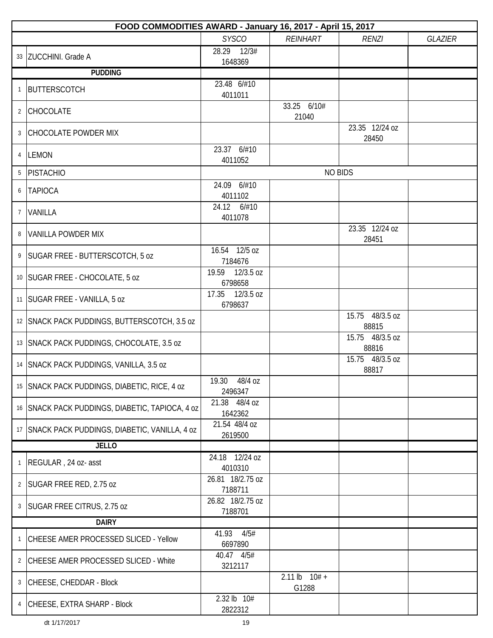|                | FOOD COMMODITIES AWARD - January 16, 2017 - April 15, 2017 |                             |                            |                          |                |  |
|----------------|------------------------------------------------------------|-----------------------------|----------------------------|--------------------------|----------------|--|
|                |                                                            | <b>SYSCO</b>                | <b>REINHART</b>            | <b>RENZI</b>             | <b>GLAZIER</b> |  |
|                | 33 ZUCCHINI. Grade A                                       | 12/3#<br>28.29<br>1648369   |                            |                          |                |  |
|                | <b>PUDDING</b>                                             |                             |                            |                          |                |  |
| $\mathbf{1}$   | BUTTERSCOTCH                                               | 23.48 6/#10<br>4011011      |                            |                          |                |  |
| $\overline{2}$ | CHOCOLATE                                                  |                             | 33.25 6/10#<br>21040       |                          |                |  |
| 3              | <b>CHOCOLATE POWDER MIX</b>                                |                             |                            | 23.35 12/24 oz<br>28450  |                |  |
| 4              | <b>LEMON</b>                                               | 23.37 6/#10<br>4011052      |                            |                          |                |  |
| 5              | PISTACHIO                                                  |                             |                            | <b>NO BIDS</b>           |                |  |
| 6              | <b>TAPIOCA</b>                                             | 24.09 6/#10<br>4011102      |                            |                          |                |  |
| $\overline{7}$ | VANILLA                                                    | 24.12 6/#10<br>4011078      |                            |                          |                |  |
| 8              | <b>VANILLA POWDER MIX</b>                                  |                             |                            | 23.35 12/24 oz<br>28451  |                |  |
| 9              | SUGAR FREE - BUTTERSCOTCH, 5 oz                            | 16.54 12/5 oz<br>7184676    |                            |                          |                |  |
|                | 10   SUGAR FREE - CHOCOLATE, 5 oz                          | 19.59 12/3.5 oz<br>6798658  |                            |                          |                |  |
| 11             | SUGAR FREE - VANILLA, 5 oz                                 | 17.35 12/3.5 oz<br>6798637  |                            |                          |                |  |
|                | 12 SNACK PACK PUDDINGS, BUTTERSCOTCH, 3.5 oz               |                             |                            | 15.75 48/3.5 oz<br>88815 |                |  |
|                | 13 SNACK PACK PUDDINGS, CHOCOLATE, 3.5 oz                  |                             |                            | 15.75 48/3.5 oz<br>88816 |                |  |
|                | 14 SNACK PACK PUDDINGS, VANILLA, 3.5 oz                    |                             |                            | 15.75 48/3.5 oz<br>88817 |                |  |
| 15             | SNACK PACK PUDDINGS, DIABETIC, RICE, 4 oz                  | 19.30 48/4 oz<br>2496347    |                            |                          |                |  |
|                | 16 SNACK PACK PUDDINGS, DIABETIC, TAPIOCA, 4 oz            | 21.38 48/4 oz<br>1642362    |                            |                          |                |  |
| 17             | SNACK PACK PUDDINGS, DIABETIC, VANILLA, 4 oz               | 21.54 48/4 oz<br>2619500    |                            |                          |                |  |
|                | <b>JELLO</b>                                               |                             |                            |                          |                |  |
| 1              | REGULAR, 24 oz- asst                                       | 24.18 12/24 oz<br>4010310   |                            |                          |                |  |
| $\overline{2}$ | SUGAR FREE RED, 2.75 oz                                    | 26.81 18/2.75 oz<br>7188711 |                            |                          |                |  |
| 3              | SUGAR FREE CITRUS, 2.75 oz                                 | 26.82 18/2.75 oz<br>7188701 |                            |                          |                |  |
| <b>DAIRY</b>   |                                                            |                             |                            |                          |                |  |
| $\mathbf{1}$   | CHEESE AMER PROCESSED SLICED - Yellow                      | 41.93<br>4/5#<br>6697890    |                            |                          |                |  |
| $\overline{2}$ | CHEESE AMER PROCESSED SLICED - White                       | 40.47 4/5#<br>3212117       |                            |                          |                |  |
| 3              | CHEESE, CHEDDAR - Block                                    |                             | $2.11 lb$ $10# +$<br>G1288 |                          |                |  |
| 4              | CHEESE, EXTRA SHARP - Block                                | 2.32 lb 10#<br>2822312      |                            |                          |                |  |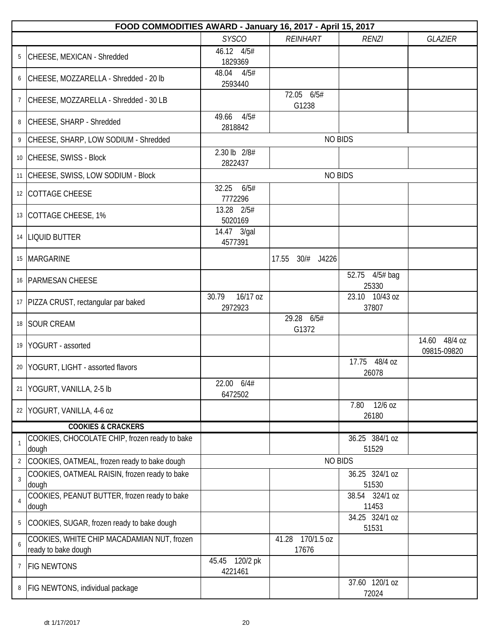|                | FOOD COMMODITIES AWARD - January 16, 2017 - April 15, 2017        |                              |                              |                                  |                              |  |  |
|----------------|-------------------------------------------------------------------|------------------------------|------------------------------|----------------------------------|------------------------------|--|--|
|                |                                                                   | <b>SYSCO</b>                 | <b>REINHART</b>              | <b>RENZI</b>                     | <b>GLAZIER</b>               |  |  |
| 5              | CHEESE, MEXICAN - Shredded                                        | 46.12 4/5#<br>1829369        |                              |                                  |                              |  |  |
| 6              | CHEESE, MOZZARELLA - Shredded - 20 lb                             | 4/5#<br>48.04<br>2593440     |                              |                                  |                              |  |  |
| $\overline{7}$ | CHEESE, MOZZARELLA - Shredded - 30 LB                             |                              | 72.05 6/5#<br>G1238          |                                  |                              |  |  |
| 8              | CHEESE, SHARP - Shredded                                          | 4/5#<br>49.66<br>2818842     |                              |                                  |                              |  |  |
| 9              | CHEESE, SHARP, LOW SODIUM - Shredded                              |                              | <b>NO BIDS</b>               |                                  |                              |  |  |
|                | 10 CHEESE, SWISS - Block                                          | 2.30 lb 2/8#<br>2822437      |                              |                                  |                              |  |  |
|                | 11 CHEESE, SWISS, LOW SODIUM - Block                              |                              | <b>NO BIDS</b>               |                                  |                              |  |  |
|                | 12 COTTAGE CHEESE                                                 | 32.25<br>6/5#<br>7772296     |                              |                                  |                              |  |  |
|                | 13 COTTAGE CHEESE, 1%                                             | 13.28 2/5#<br>5020169        |                              |                                  |                              |  |  |
|                | 14  LIQUID BUTTER                                                 | 14.47 3/gal<br>4577391       |                              |                                  |                              |  |  |
|                | 15   MARGARINE                                                    |                              | 30/# J4226<br>17.55          |                                  |                              |  |  |
|                | 16   PARMESAN CHEESE                                              |                              |                              | 52.75 4/5# bag<br>25330          |                              |  |  |
|                | 17   PIZZA CRUST, rectangular par baked                           | 16/17 oz<br>30.79<br>2972923 |                              | 23.10 10/43 oz<br>37807          |                              |  |  |
|                | 18 SOUR CREAM                                                     |                              | 29.28 6/5#<br>G1372          |                                  |                              |  |  |
|                | 19 YOGURT - assorted                                              |                              |                              |                                  | 14.60 48/4 oz<br>09815-09820 |  |  |
|                | 20 YOGURT, LIGHT - assorted flavors                               |                              |                              | 17.75 48/4 oz<br>26078           |                              |  |  |
| 21             | YOGURT, VANILLA, 2-5 lb                                           | 22.00 6/4#<br>6472502        |                              |                                  |                              |  |  |
|                | 22 YOGURT, VANILLA, 4-6 oz                                        |                              |                              | 12/6 oz<br>7.80<br>26180         |                              |  |  |
|                | <b>COOKIES &amp; CRACKERS</b>                                     |                              |                              |                                  |                              |  |  |
|                | COOKIES, CHOCOLATE CHIP, frozen ready to bake<br>dough            |                              |                              | 36.25 384/1 oz<br>51529          |                              |  |  |
| $\overline{2}$ | COOKIES, OATMEAL, frozen ready to bake dough                      |                              | <b>NO BIDS</b>               |                                  |                              |  |  |
| 3              | COOKIES, OATMEAL RAISIN, frozen ready to bake                     |                              |                              | 36.25 324/1 oz                   |                              |  |  |
| $\overline{4}$ | dough<br>COOKIES, PEANUT BUTTER, frozen ready to bake<br>dough    |                              |                              | 51530<br>38.54 324/1 oz<br>11453 |                              |  |  |
| 5              | COOKIES, SUGAR, frozen ready to bake dough                        |                              |                              | 34.25 324/1 oz<br>51531          |                              |  |  |
| 6              | COOKIES, WHITE CHIP MACADAMIAN NUT, frozen<br>ready to bake dough |                              | 170/1.5 oz<br>41.28<br>17676 |                                  |                              |  |  |
| 7              | <b>FIG NEWTONS</b>                                                | 45.45 120/2 pk<br>4221461    |                              |                                  |                              |  |  |
| 8              | <b>FIG NEWTONS, individual package</b>                            |                              |                              | 37.60 120/1 oz<br>72024          |                              |  |  |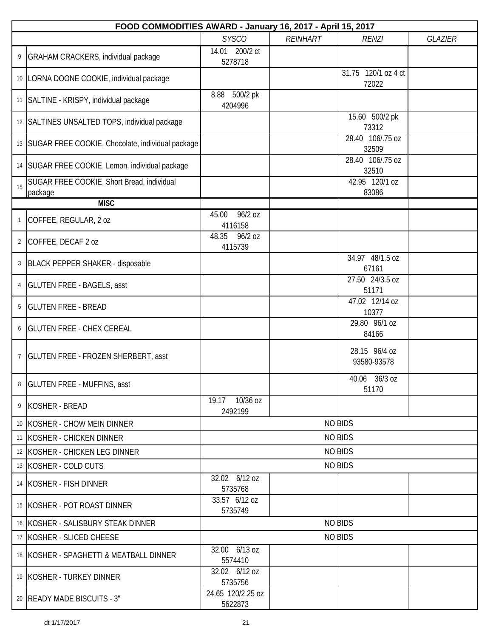|                | FOOD COMMODITIES AWARD - January 16, 2017 - April 15, 2017 |                              |                 |                              |                |
|----------------|------------------------------------------------------------|------------------------------|-----------------|------------------------------|----------------|
|                |                                                            | <b>SYSCO</b>                 | <b>REINHART</b> | <b>RENZI</b>                 | <b>GLAZIER</b> |
| 9              | GRAHAM CRACKERS, individual package                        | 14.01 200/2 ct<br>5278718    |                 |                              |                |
|                | 10   LORNA DOONE COOKIE, individual package                |                              |                 | 31.75 120/1 oz 4 ct<br>72022 |                |
|                | 11   SALTINE - KRISPY, individual package                  | 8.88 500/2 pk<br>4204996     |                 |                              |                |
|                | 12 SALTINES UNSALTED TOPS, individual package              |                              |                 | 15.60 500/2 pk<br>73312      |                |
|                | 13   SUGAR FREE COOKIE, Chocolate, individual package      |                              |                 | 28.40 106/.75 oz<br>32509    |                |
|                | 14   SUGAR FREE COOKIE, Lemon, individual package          |                              |                 | 28.40 106/.75 oz<br>32510    |                |
| 15             | SUGAR FREE COOKIE, Short Bread, individual<br>package      |                              |                 | 42.95 120/1 oz<br>83086      |                |
|                | <b>MISC</b>                                                |                              |                 |                              |                |
| $\mathbf{1}$   | COFFEE, REGULAR, 2 oz                                      | 96/2 oz<br>45.00<br>4116158  |                 |                              |                |
| $\overline{2}$ | COFFEE, DECAF 2 oz                                         | 96/2 oz<br>48.35<br>4115739  |                 |                              |                |
| 3              | BLACK PEPPER SHAKER - disposable                           |                              |                 | 34.97 48/1.5 oz<br>67161     |                |
| 4              | <b>GLUTEN FREE - BAGELS, asst</b>                          |                              |                 | 27.50 24/3.5 oz<br>51171     |                |
| 5              | <b>GLUTEN FREE - BREAD</b>                                 |                              |                 | 47.02 12/14 oz<br>10377      |                |
| 6              | <b>GLUTEN FREE - CHEX CEREAL</b>                           |                              |                 | 29.80 96/1 oz<br>84166       |                |
| $\overline{7}$ | <b>GLUTEN FREE - FROZEN SHERBERT, asst</b>                 |                              |                 | 28.15 96/4 oz<br>93580-93578 |                |
| 8              | <b>GLUTEN FREE - MUFFINS, asst</b>                         |                              |                 | 40.06 36/3 oz<br>51170       |                |
| 9              | KOSHER - BREAD                                             | 19.17 10/36 oz<br>2492199    |                 |                              |                |
|                | 10 KOSHER - CHOW MEIN DINNER                               |                              |                 | <b>NO BIDS</b>               |                |
|                | 11 KOSHER - CHICKEN DINNER                                 |                              |                 | <b>NO BIDS</b>               |                |
|                | 12 KOSHER - CHICKEN LEG DINNER                             |                              |                 | <b>NO BIDS</b>               |                |
|                | 13 KOSHER - COLD CUTS                                      |                              |                 | <b>NO BIDS</b>               |                |
|                | 14 KOSHER - FISH DINNER                                    | 32.02 6/12 oz<br>5735768     |                 |                              |                |
|                | 15 KOSHER - POT ROAST DINNER                               | 33.57 6/12 oz<br>5735749     |                 |                              |                |
|                | 16 KOSHER - SALISBURY STEAK DINNER                         |                              |                 | <b>NO BIDS</b>               |                |
|                | 17 KOSHER - SLICED CHEESE                                  |                              |                 | <b>NO BIDS</b>               |                |
|                | 18 KOSHER - SPAGHETTI & MEATBALL DINNER                    | 32.00 6/13 oz<br>5574410     |                 |                              |                |
|                | 19 KOSHER - TURKEY DINNER                                  | 32.02 6/12 oz<br>5735756     |                 |                              |                |
|                | 20   READY MADE BISCUITS - 3"                              | 24.65 120/2.25 oz<br>5622873 |                 |                              |                |